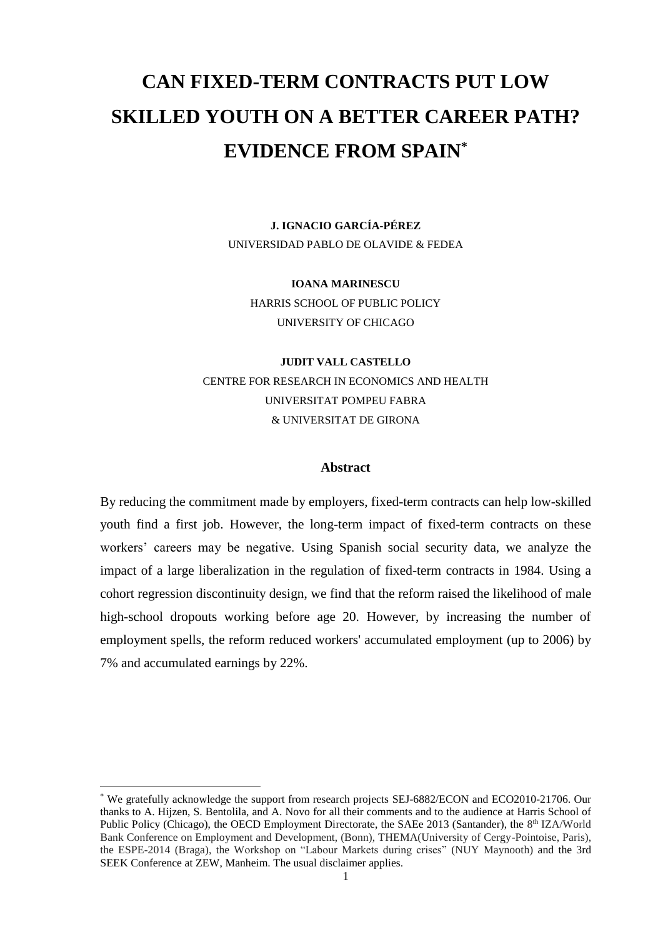# **CAN FIXED-TERM CONTRACTS PUT LOW SKILLED YOUTH ON A BETTER CAREER PATH? EVIDENCE FROM SPAIN\***

**J. IGNACIO GARCÍA-PÉREZ** UNIVERSIDAD PABLO DE OLAVIDE & FEDEA

**IOANA MARINESCU** HARRIS SCHOOL OF PUBLIC POLICY UNIVERSITY OF CHICAGO

**JUDIT VALL CASTELLO** CENTRE FOR RESEARCH IN ECONOMICS AND HEALTH UNIVERSITAT POMPEU FABRA & UNIVERSITAT DE GIRONA

## **Abstract**

By reducing the commitment made by employers, fixed-term contracts can help low-skilled youth find a first job. However, the long-term impact of fixed-term contracts on these workers' careers may be negative. Using Spanish social security data, we analyze the impact of a large liberalization in the regulation of fixed-term contracts in 1984. Using a cohort regression discontinuity design, we find that the reform raised the likelihood of male high-school dropouts working before age 20. However, by increasing the number of employment spells, the reform reduced workers' accumulated employment (up to 2006) by 7% and accumulated earnings by 22%.

<sup>\*</sup> We gratefully acknowledge the support from research projects SEJ-6882/ECON and ECO2010-21706. Our thanks to A. Hijzen, S. Bentolila, and A. Novo for all their comments and to the audience at Harris School of Public Policy (Chicago), the OECD Employment Directorate, the SAEe 2013 (Santander), the 8<sup>th</sup> IZA/World Bank Conference on Employment and Development, (Bonn), THEMA(University of Cergy-Pointoise, Paris), the ESPE-2014 (Braga), the Workshop on "Labour Markets during crises" (NUY Maynooth) and the 3rd SEEK Conference at ZEW, Manheim. The usual disclaimer applies.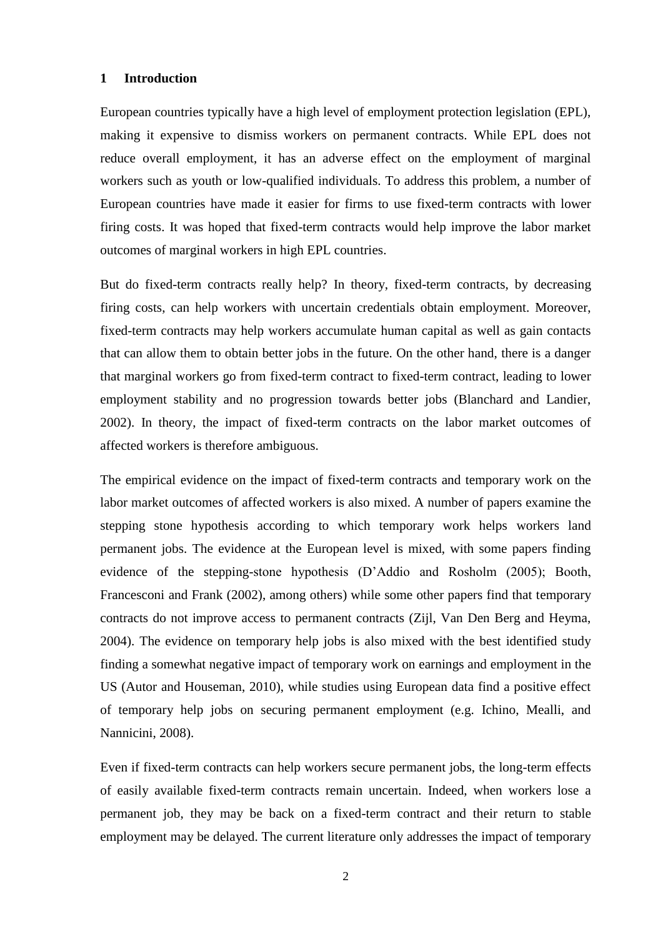## **1 Introduction**

European countries typically have a high level of employment protection legislation (EPL), making it expensive to dismiss workers on permanent contracts. While EPL does not reduce overall employment, it has an adverse effect on the employment of marginal workers such as youth or low-qualified individuals. To address this problem, a number of European countries have made it easier for firms to use fixed-term contracts with lower firing costs. It was hoped that fixed-term contracts would help improve the labor market outcomes of marginal workers in high EPL countries.

But do fixed-term contracts really help? In theory, fixed-term contracts, by decreasing firing costs, can help workers with uncertain credentials obtain employment. Moreover, fixed-term contracts may help workers accumulate human capital as well as gain contacts that can allow them to obtain better jobs in the future. On the other hand, there is a danger that marginal workers go from fixed-term contract to fixed-term contract, leading to lower employment stability and no progression towards better jobs (Blanchard and Landier, 2002). In theory, the impact of fixed-term contracts on the labor market outcomes of affected workers is therefore ambiguous.

The empirical evidence on the impact of fixed-term contracts and temporary work on the labor market outcomes of affected workers is also mixed. A number of papers examine the stepping stone hypothesis according to which temporary work helps workers land permanent jobs. The evidence at the European level is mixed, with some papers finding evidence of the stepping-stone hypothesis (D'Addio and Rosholm (2005); Booth, Francesconi and Frank (2002), among others) while some other papers find that temporary contracts do not improve access to permanent contracts (Zijl, Van Den Berg and Heyma, 2004). The evidence on temporary help jobs is also mixed with the best identified study finding a somewhat negative impact of temporary work on earnings and employment in the US (Autor and Houseman, 2010), while studies using European data find a positive effect of temporary help jobs on securing permanent employment (e.g. Ichino, Mealli, and Nannicini, 2008).

Even if fixed-term contracts can help workers secure permanent jobs, the long-term effects of easily available fixed-term contracts remain uncertain. Indeed, when workers lose a permanent job, they may be back on a fixed-term contract and their return to stable employment may be delayed. The current literature only addresses the impact of temporary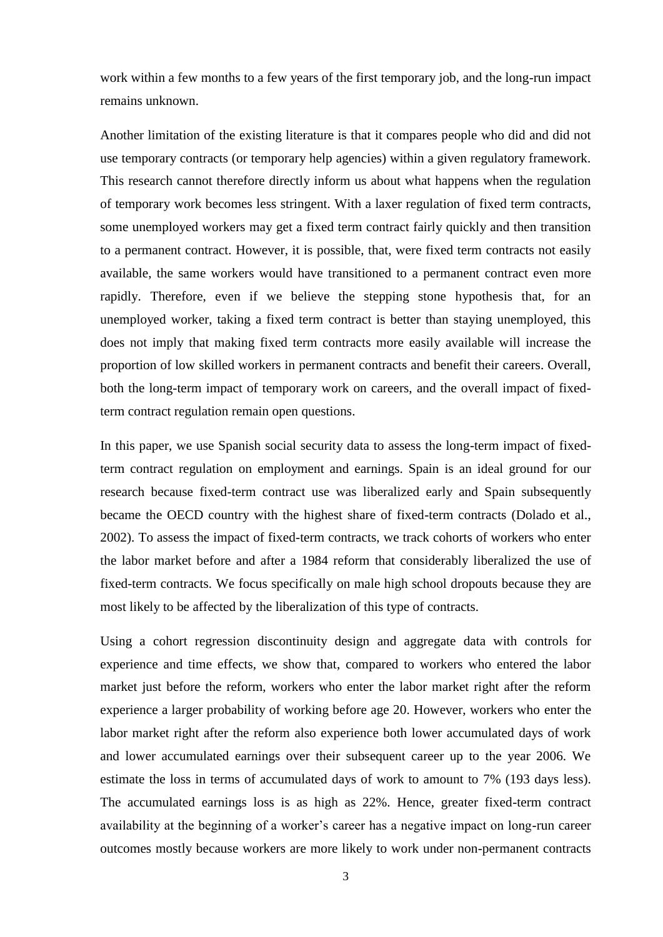work within a few months to a few years of the first temporary job, and the long-run impact remains unknown.

Another limitation of the existing literature is that it compares people who did and did not use temporary contracts (or temporary help agencies) within a given regulatory framework. This research cannot therefore directly inform us about what happens when the regulation of temporary work becomes less stringent. With a laxer regulation of fixed term contracts, some unemployed workers may get a fixed term contract fairly quickly and then transition to a permanent contract. However, it is possible, that, were fixed term contracts not easily available, the same workers would have transitioned to a permanent contract even more rapidly. Therefore, even if we believe the stepping stone hypothesis that, for an unemployed worker, taking a fixed term contract is better than staying unemployed, this does not imply that making fixed term contracts more easily available will increase the proportion of low skilled workers in permanent contracts and benefit their careers. Overall, both the long-term impact of temporary work on careers, and the overall impact of fixedterm contract regulation remain open questions.

In this paper, we use Spanish social security data to assess the long-term impact of fixedterm contract regulation on employment and earnings. Spain is an ideal ground for our research because fixed-term contract use was liberalized early and Spain subsequently became the OECD country with the highest share of fixed-term contracts (Dolado et al., 2002). To assess the impact of fixed-term contracts, we track cohorts of workers who enter the labor market before and after a 1984 reform that considerably liberalized the use of fixed-term contracts. We focus specifically on male high school dropouts because they are most likely to be affected by the liberalization of this type of contracts.

Using a cohort regression discontinuity design and aggregate data with controls for experience and time effects, we show that, compared to workers who entered the labor market just before the reform, workers who enter the labor market right after the reform experience a larger probability of working before age 20. However, workers who enter the labor market right after the reform also experience both lower accumulated days of work and lower accumulated earnings over their subsequent career up to the year 2006. We estimate the loss in terms of accumulated days of work to amount to 7% (193 days less). The accumulated earnings loss is as high as 22%. Hence, greater fixed-term contract availability at the beginning of a worker's career has a negative impact on long-run career outcomes mostly because workers are more likely to work under non-permanent contracts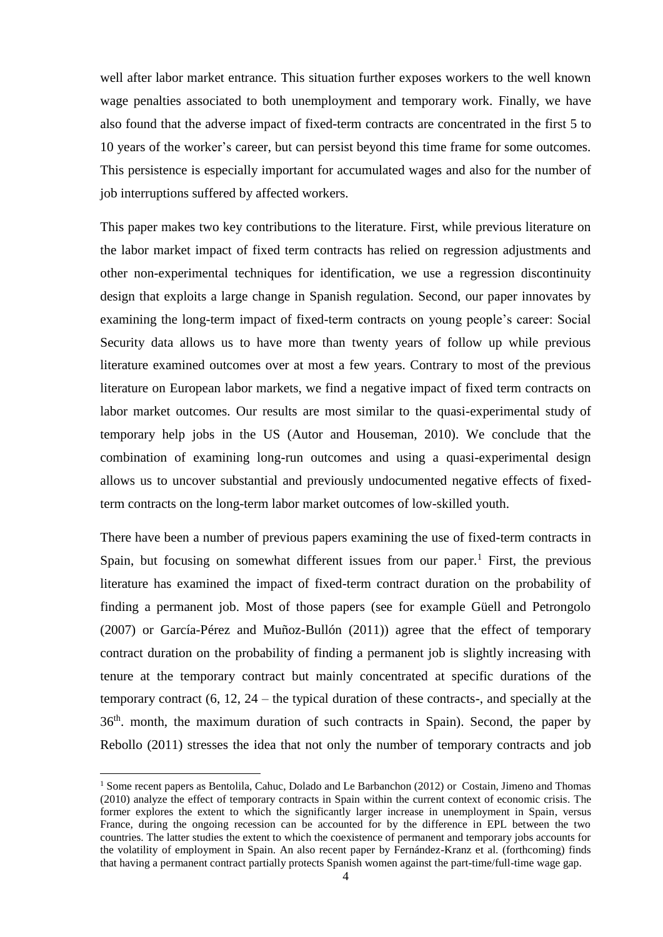well after labor market entrance. This situation further exposes workers to the well known wage penalties associated to both unemployment and temporary work. Finally, we have also found that the adverse impact of fixed-term contracts are concentrated in the first 5 to 10 years of the worker's career, but can persist beyond this time frame for some outcomes. This persistence is especially important for accumulated wages and also for the number of job interruptions suffered by affected workers.

This paper makes two key contributions to the literature. First, while previous literature on the labor market impact of fixed term contracts has relied on regression adjustments and other non-experimental techniques for identification, we use a regression discontinuity design that exploits a large change in Spanish regulation. Second, our paper innovates by examining the long-term impact of fixed-term contracts on young people's career: Social Security data allows us to have more than twenty years of follow up while previous literature examined outcomes over at most a few years. Contrary to most of the previous literature on European labor markets, we find a negative impact of fixed term contracts on labor market outcomes. Our results are most similar to the quasi-experimental study of temporary help jobs in the US (Autor and Houseman, 2010). We conclude that the combination of examining long-run outcomes and using a quasi-experimental design allows us to uncover substantial and previously undocumented negative effects of fixedterm contracts on the long-term labor market outcomes of low-skilled youth.

There have been a number of previous papers examining the use of fixed-term contracts in Spain, but focusing on somewhat different issues from our paper.<sup>1</sup> First, the previous literature has examined the impact of fixed-term contract duration on the probability of finding a permanent job. Most of those papers (see for example Güell and Petrongolo (2007) or García-Pérez and Muñoz-Bullón (2011)) agree that the effect of temporary contract duration on the probability of finding a permanent job is slightly increasing with tenure at the temporary contract but mainly concentrated at specific durations of the temporary contract (6, 12, 24 – the typical duration of these contracts-, and specially at the 36th. month, the maximum duration of such contracts in Spain). Second, the paper by Rebollo (2011) stresses the idea that not only the number of temporary contracts and job

<sup>&</sup>lt;sup>1</sup> Some recent papers as Bentolila, Cahuc, Dolado and Le Barbanchon (2012) or Costain, Jimeno and Thomas (2010) analyze the effect of temporary contracts in Spain within the current context of economic crisis. The former explores the extent to which the significantly larger increase in unemployment in Spain, versus France, during the ongoing recession can be accounted for by the difference in EPL between the two countries. The latter studies the extent to which the coexistence of permanent and temporary jobs accounts for the volatility of employment in Spain. An also recent paper by Fernández-Kranz et al. (forthcoming) finds that having a permanent contract partially protects Spanish women against the part-time/full-time wage gap.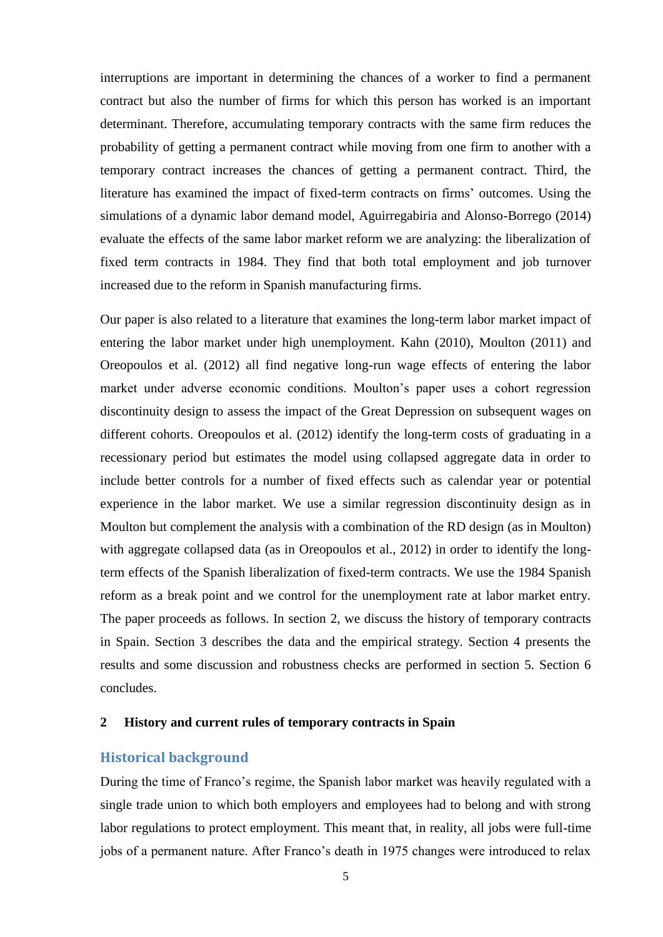interruptions are important in determining the chances of a worker to find a permanent contract but also the number of firms for which this person has worked is an important determinant. Therefore, accumulating temporary contracts with the same firm reduces the probability of getting a permanent contract while moving from one firm to another with a temporary contract increases the chances of getting a permanent contract. Third, the literature has examined the impact of fixed-term contracts on firms' outcomes. Using the simulations of a dynamic labor demand model, Aguirregabiria and Alonso-Borrego (2014) evaluate the effects of the same labor market reform we are analyzing: the liberalization of fixed term contracts in 1984. They find that both total employment and job turnover increased due to the reform in Spanish manufacturing firms.

Our paper is also related to a literature that examines the long-term labor market impact of entering the labor market under high unemployment. Kahn (2010), Moulton (2011) and Oreopoulos et al. (2012) all find negative long-run wage effects of entering the labor market under adverse economic conditions. Moulton's paper uses a cohort regression discontinuity design to assess the impact of the Great Depression on subsequent wages on different cohorts. Oreopoulos et al. (2012) identify the long-term costs of graduating in a recessionary period but estimates the model using collapsed aggregate data in order to include better controls for a number of fixed effects such as calendar year or potential experience in the labor market. We use a similar regression discontinuity design as in Moulton but complement the analysis with a combination of the RD design (as in Moulton) with aggregate collapsed data (as in Oreopoulos et al., 2012) in order to identify the longterm effects of the Spanish liberalization of fixed-term contracts. We use the 1984 Spanish reform as a break point and we control for the unemployment rate at labor market entry. The paper proceeds as follows. In section 2, we discuss the history of temporary contracts in Spain. Section 3 describes the data and the empirical strategy. Section 4 presents the results and some discussion and robustness checks are performed in section 5. Section 6 concludes.

## **2 History and current rules of temporary contracts in Spain**

## **Historical background**

During the time of Franco's regime, the Spanish labor market was heavily regulated with a single trade union to which both employers and employees had to belong and with strong labor regulations to protect employment. This meant that, in reality, all jobs were full-time jobs of a permanent nature. After Franco's death in 1975 changes were introduced to relax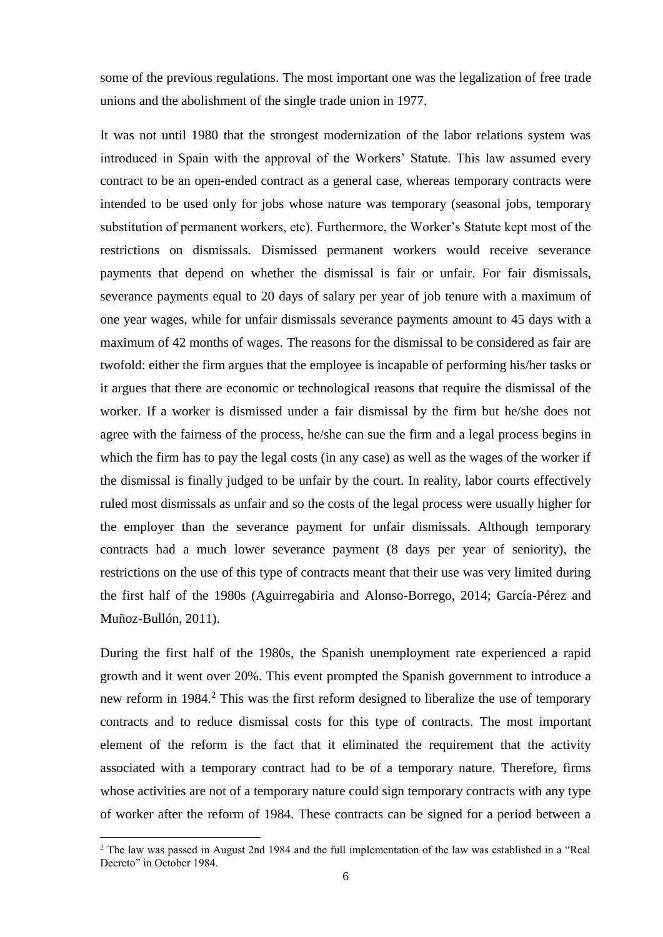some of the previous regulations. The most important one was the legalization of free trade unions and the abolishment of the single trade union in 1977.

It was not until 1980 that the strongest modernization of the labor relations system was introduced in Spain with the approval of the Workers' Statute. This law assumed every contract to be an open-ended contract as a general case, whereas temporary contracts were intended to be used only for jobs whose nature was temporary (seasonal jobs, temporary substitution of permanent workers, etc). Furthermore, the Worker's Statute kept most of the restrictions on dismissals. Dismissed permanent workers would receive severance payments that depend on whether the dismissal is fair or unfair. For fair dismissals, severance payments equal to 20 days of salary per year of job tenure with a maximum of one year wages, while for unfair dismissals severance payments amount to 45 days with a maximum of 42 months of wages. The reasons for the dismissal to be considered as fair are twofold: either the firm argues that the employee is incapable of performing his/her tasks or it argues that there are economic or technological reasons that require the dismissal of the worker. If a worker is dismissed under a fair dismissal by the firm but he/she does not agree with the fairness of the process, he/she can sue the firm and a legal process begins in which the firm has to pay the legal costs (in any case) as well as the wages of the worker if the dismissal is finally judged to be unfair by the court. In reality, labor courts effectively ruled most dismissals as unfair and so the costs of the legal process were usually higher for the employer than the severance payment for unfair dismissals. Although temporary contracts had a much lower severance payment (8 days per year of seniority), the restrictions on the use of this type of contracts meant that their use was very limited during the first half of the 1980s (Aguirregabiria and Alonso-Borrego, 2014; García-Pérez and Muñoz-Bullón, 2011).

During the first half of the 1980s, the Spanish unemployment rate experienced a rapid growth and it went over 20%. This event prompted the Spanish government to introduce a new reform in 1984.<sup>2</sup> This was the first reform designed to liberalize the use of temporary contracts and to reduce dismissal costs for this type of contracts. The most important element of the reform is the fact that it eliminated the requirement that the activity associated with a temporary contract had to be of a temporary nature. Therefore, firms whose activities are not of a temporary nature could sign temporary contracts with any type of worker after the reform of 1984. These contracts can be signed for a period between a

<u>.</u>

<sup>2</sup> The law was passed in August 2nd 1984 and the full implementation of the law was established in a "Real Decreto" in October 1984.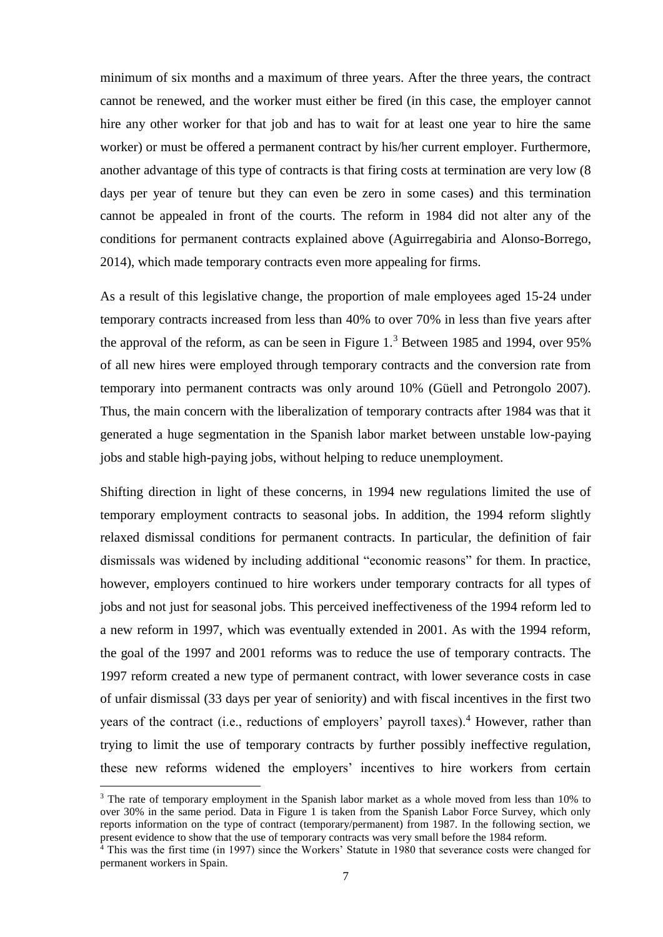minimum of six months and a maximum of three years. After the three years, the contract cannot be renewed, and the worker must either be fired (in this case, the employer cannot hire any other worker for that job and has to wait for at least one year to hire the same worker) or must be offered a permanent contract by his/her current employer. Furthermore, another advantage of this type of contracts is that firing costs at termination are very low (8 days per year of tenure but they can even be zero in some cases) and this termination cannot be appealed in front of the courts. The reform in 1984 did not alter any of the conditions for permanent contracts explained above (Aguirregabiria and Alonso-Borrego, 2014), which made temporary contracts even more appealing for firms.

As a result of this legislative change, the proportion of male employees aged 15-24 under temporary contracts increased from less than 40% to over 70% in less than five years after the approval of the reform, as can be seen in Figure 1.<sup>3</sup> Between 1985 and 1994, over 95% of all new hires were employed through temporary contracts and the conversion rate from temporary into permanent contracts was only around 10% (Güell and Petrongolo 2007). Thus, the main concern with the liberalization of temporary contracts after 1984 was that it generated a huge segmentation in the Spanish labor market between unstable low-paying jobs and stable high-paying jobs, without helping to reduce unemployment.

Shifting direction in light of these concerns, in 1994 new regulations limited the use of temporary employment contracts to seasonal jobs. In addition, the 1994 reform slightly relaxed dismissal conditions for permanent contracts. In particular, the definition of fair dismissals was widened by including additional "economic reasons" for them. In practice, however, employers continued to hire workers under temporary contracts for all types of jobs and not just for seasonal jobs. This perceived ineffectiveness of the 1994 reform led to a new reform in 1997, which was eventually extended in 2001. As with the 1994 reform, the goal of the 1997 and 2001 reforms was to reduce the use of temporary contracts. The 1997 reform created a new type of permanent contract, with lower severance costs in case of unfair dismissal (33 days per year of seniority) and with fiscal incentives in the first two years of the contract (i.e., reductions of employers' payroll taxes). <sup>4</sup> However, rather than trying to limit the use of temporary contracts by further possibly ineffective regulation, these new reforms widened the employers' incentives to hire workers from certain

<sup>&</sup>lt;sup>3</sup> The rate of temporary employment in the Spanish labor market as a whole moved from less than 10% to over 30% in the same period. Data in Figure 1 is taken from the Spanish Labor Force Survey, which only reports information on the type of contract (temporary/permanent) from 1987. In the following section, we present evidence to show that the use of temporary contracts was very small before the 1984 reform.

 $4$  This was the first time (in 1997) since the Workers' Statute in 1980 that severance costs were changed for permanent workers in Spain.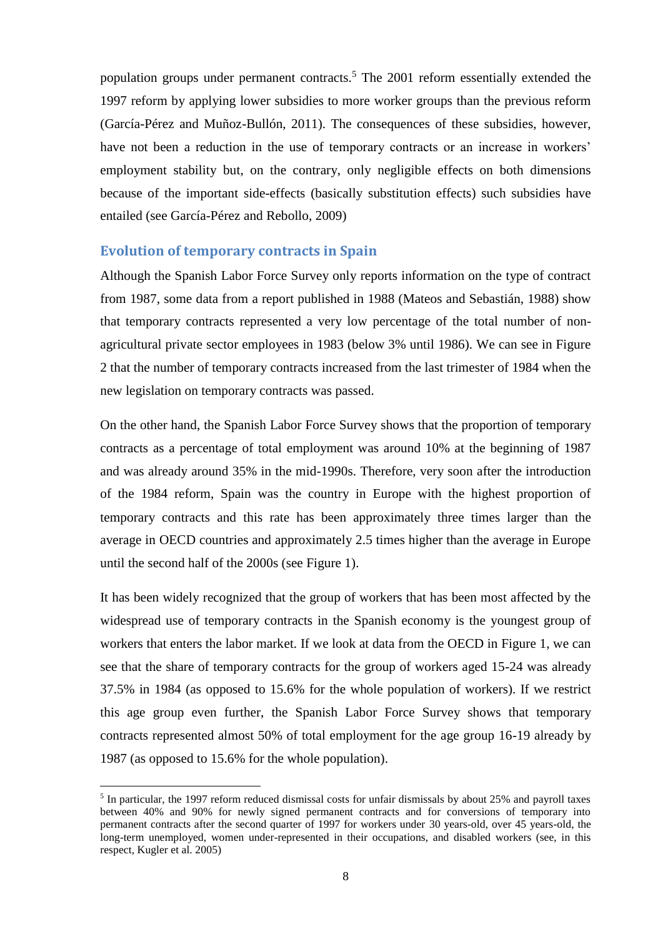population groups under permanent contracts.<sup>5</sup> The 2001 reform essentially extended the 1997 reform by applying lower subsidies to more worker groups than the previous reform (García-Pérez and Muñoz-Bullón, 2011). The consequences of these subsidies, however, have not been a reduction in the use of temporary contracts or an increase in workers' employment stability but, on the contrary, only negligible effects on both dimensions because of the important side-effects (basically substitution effects) such subsidies have entailed (see García-Pérez and Rebollo, 2009)

## **Evolution of temporary contracts in Spain**

1

Although the Spanish Labor Force Survey only reports information on the type of contract from 1987, some data from a report published in 1988 (Mateos and Sebastián, 1988) show that temporary contracts represented a very low percentage of the total number of nonagricultural private sector employees in 1983 (below 3% until 1986). We can see in Figure 2 that the number of temporary contracts increased from the last trimester of 1984 when the new legislation on temporary contracts was passed.

On the other hand, the Spanish Labor Force Survey shows that the proportion of temporary contracts as a percentage of total employment was around 10% at the beginning of 1987 and was already around 35% in the mid-1990s. Therefore, very soon after the introduction of the 1984 reform, Spain was the country in Europe with the highest proportion of temporary contracts and this rate has been approximately three times larger than the average in OECD countries and approximately 2.5 times higher than the average in Europe until the second half of the 2000s (see Figure 1).

It has been widely recognized that the group of workers that has been most affected by the widespread use of temporary contracts in the Spanish economy is the youngest group of workers that enters the labor market. If we look at data from the OECD in Figure 1, we can see that the share of temporary contracts for the group of workers aged 15-24 was already 37.5% in 1984 (as opposed to 15.6% for the whole population of workers). If we restrict this age group even further, the Spanish Labor Force Survey shows that temporary contracts represented almost 50% of total employment for the age group 16-19 already by 1987 (as opposed to 15.6% for the whole population).

<sup>&</sup>lt;sup>5</sup> In particular, the 1997 reform reduced dismissal costs for unfair dismissals by about 25% and payroll taxes between 40% and 90% for newly signed permanent contracts and for conversions of temporary into permanent contracts after the second quarter of 1997 for workers under 30 years-old, over 45 years-old, the long-term unemployed, women under-represented in their occupations, and disabled workers (see, in this respect, Kugler et al. 2005)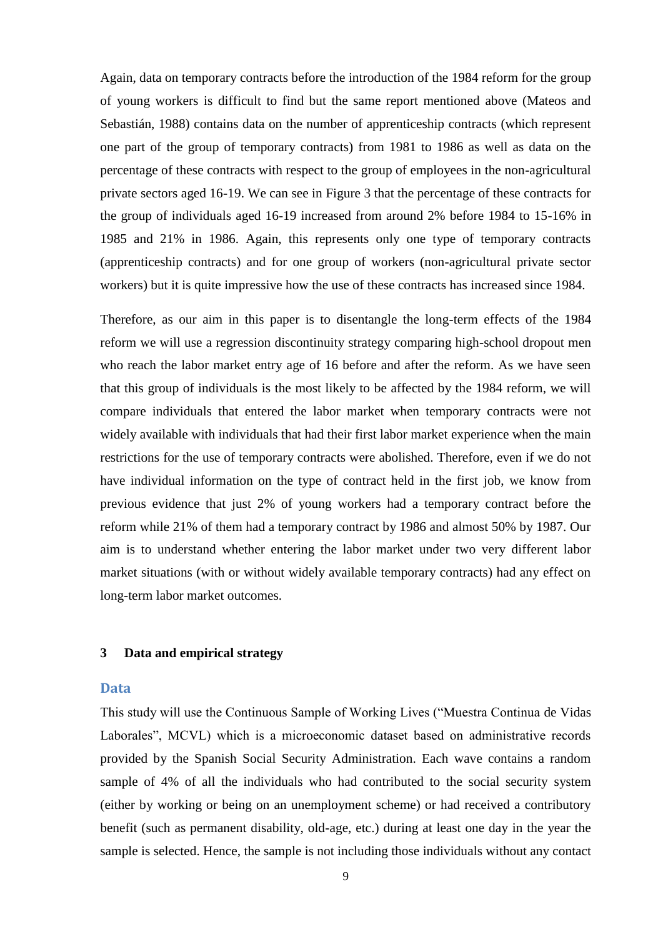Again, data on temporary contracts before the introduction of the 1984 reform for the group of young workers is difficult to find but the same report mentioned above (Mateos and Sebastián, 1988) contains data on the number of apprenticeship contracts (which represent one part of the group of temporary contracts) from 1981 to 1986 as well as data on the percentage of these contracts with respect to the group of employees in the non-agricultural private sectors aged 16-19. We can see in Figure 3 that the percentage of these contracts for the group of individuals aged 16-19 increased from around 2% before 1984 to 15-16% in 1985 and 21% in 1986. Again, this represents only one type of temporary contracts (apprenticeship contracts) and for one group of workers (non-agricultural private sector workers) but it is quite impressive how the use of these contracts has increased since 1984.

Therefore, as our aim in this paper is to disentangle the long-term effects of the 1984 reform we will use a regression discontinuity strategy comparing high-school dropout men who reach the labor market entry age of 16 before and after the reform. As we have seen that this group of individuals is the most likely to be affected by the 1984 reform, we will compare individuals that entered the labor market when temporary contracts were not widely available with individuals that had their first labor market experience when the main restrictions for the use of temporary contracts were abolished. Therefore, even if we do not have individual information on the type of contract held in the first job, we know from previous evidence that just 2% of young workers had a temporary contract before the reform while 21% of them had a temporary contract by 1986 and almost 50% by 1987. Our aim is to understand whether entering the labor market under two very different labor market situations (with or without widely available temporary contracts) had any effect on long-term labor market outcomes.

## **3 Data and empirical strategy**

#### **Data**

This study will use the Continuous Sample of Working Lives ("Muestra Continua de Vidas Laborales", MCVL) which is a microeconomic dataset based on administrative records provided by the Spanish Social Security Administration. Each wave contains a random sample of 4% of all the individuals who had contributed to the social security system (either by working or being on an unemployment scheme) or had received a contributory benefit (such as permanent disability, old-age, etc.) during at least one day in the year the sample is selected. Hence, the sample is not including those individuals without any contact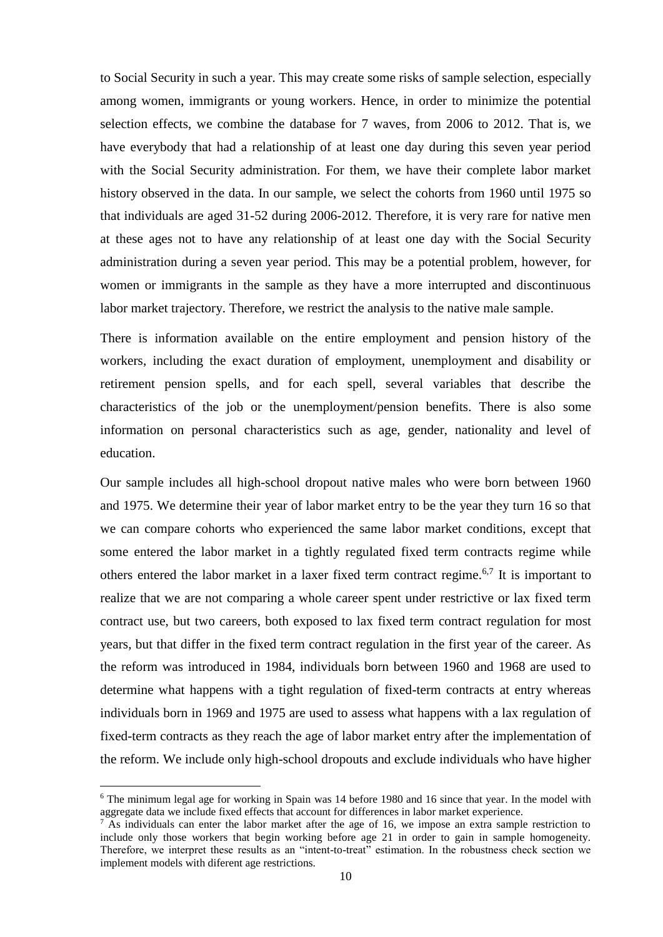to Social Security in such a year. This may create some risks of sample selection, especially among women, immigrants or young workers. Hence, in order to minimize the potential selection effects, we combine the database for 7 waves, from 2006 to 2012. That is, we have everybody that had a relationship of at least one day during this seven year period with the Social Security administration. For them, we have their complete labor market history observed in the data. In our sample, we select the cohorts from 1960 until 1975 so that individuals are aged 31-52 during 2006-2012. Therefore, it is very rare for native men at these ages not to have any relationship of at least one day with the Social Security administration during a seven year period. This may be a potential problem, however, for women or immigrants in the sample as they have a more interrupted and discontinuous labor market trajectory. Therefore, we restrict the analysis to the native male sample.

There is information available on the entire employment and pension history of the workers, including the exact duration of employment, unemployment and disability or retirement pension spells, and for each spell, several variables that describe the characteristics of the job or the unemployment/pension benefits. There is also some information on personal characteristics such as age, gender, nationality and level of education.

Our sample includes all high-school dropout native males who were born between 1960 and 1975. We determine their year of labor market entry to be the year they turn 16 so that we can compare cohorts who experienced the same labor market conditions, except that some entered the labor market in a tightly regulated fixed term contracts regime while others entered the labor market in a laxer fixed term contract regime.<sup>6,7</sup> It is important to realize that we are not comparing a whole career spent under restrictive or lax fixed term contract use, but two careers, both exposed to lax fixed term contract regulation for most years, but that differ in the fixed term contract regulation in the first year of the career. As the reform was introduced in 1984, individuals born between 1960 and 1968 are used to determine what happens with a tight regulation of fixed-term contracts at entry whereas individuals born in 1969 and 1975 are used to assess what happens with a lax regulation of fixed-term contracts as they reach the age of labor market entry after the implementation of the reform. We include only high-school dropouts and exclude individuals who have higher

 $6$  The minimum legal age for working in Spain was 14 before 1980 and 16 since that year. In the model with aggregate data we include fixed effects that account for differences in labor market experience.

 $<sup>7</sup>$  As individuals can enter the labor market after the age of 16, we impose an extra sample restriction to</sup> include only those workers that begin working before age 21 in order to gain in sample homogeneity. Therefore, we interpret these results as an "intent-to-treat" estimation. In the robustness check section we implement models with diferent age restrictions.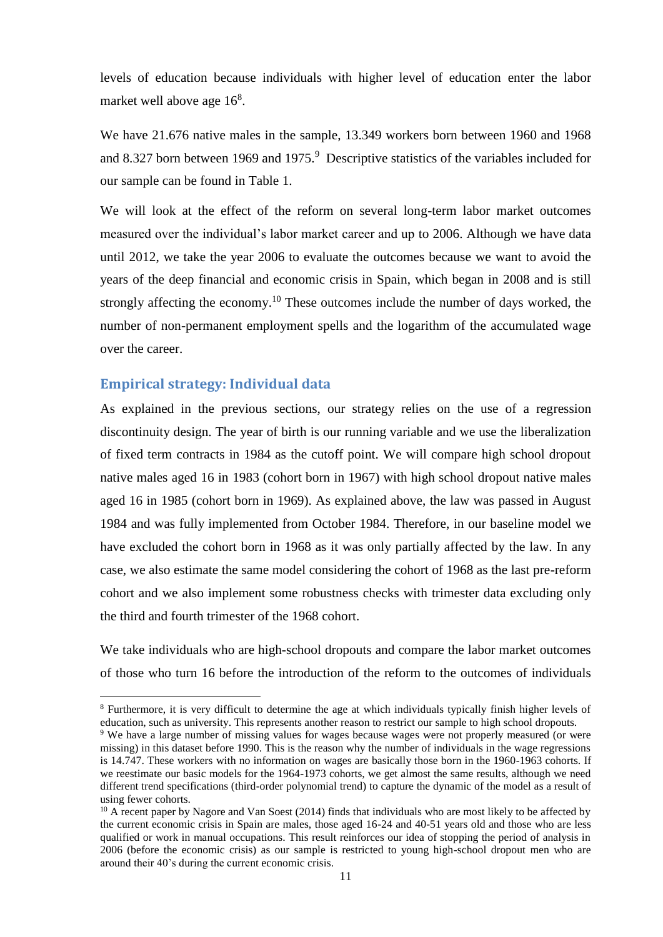levels of education because individuals with higher level of education enter the labor market well above age  $16<sup>8</sup>$ .

We have 21.676 native males in the sample, 13.349 workers born between 1960 and 1968 and 8.327 born between 1969 and 1975.<sup>9</sup> Descriptive statistics of the variables included for our sample can be found in Table 1.

We will look at the effect of the reform on several long-term labor market outcomes measured over the individual's labor market career and up to 2006. Although we have data until 2012, we take the year 2006 to evaluate the outcomes because we want to avoid the years of the deep financial and economic crisis in Spain, which began in 2008 and is still strongly affecting the economy.<sup>10</sup> These outcomes include the number of days worked, the number of non-permanent employment spells and the logarithm of the accumulated wage over the career.

## **Empirical strategy: Individual data**

1

As explained in the previous sections, our strategy relies on the use of a regression discontinuity design. The year of birth is our running variable and we use the liberalization of fixed term contracts in 1984 as the cutoff point. We will compare high school dropout native males aged 16 in 1983 (cohort born in 1967) with high school dropout native males aged 16 in 1985 (cohort born in 1969). As explained above, the law was passed in August 1984 and was fully implemented from October 1984. Therefore, in our baseline model we have excluded the cohort born in 1968 as it was only partially affected by the law. In any case, we also estimate the same model considering the cohort of 1968 as the last pre-reform cohort and we also implement some robustness checks with trimester data excluding only the third and fourth trimester of the 1968 cohort.

We take individuals who are high-school dropouts and compare the labor market outcomes of those who turn 16 before the introduction of the reform to the outcomes of individuals

<sup>8</sup> Furthermore, it is very difficult to determine the age at which individuals typically finish higher levels of education, such as university. This represents another reason to restrict our sample to high school dropouts.

<sup>9</sup> We have a large number of missing values for wages because wages were not properly measured (or were missing) in this dataset before 1990. This is the reason why the number of individuals in the wage regressions is 14.747. These workers with no information on wages are basically those born in the 1960-1963 cohorts. If we reestimate our basic models for the 1964-1973 cohorts, we get almost the same results, although we need different trend specifications (third-order polynomial trend) to capture the dynamic of the model as a result of using fewer cohorts.

<sup>&</sup>lt;sup>10</sup> A recent paper by Nagore and Van Soest (2014) finds that individuals who are most likely to be affected by the current economic crisis in Spain are males, those aged 16-24 and 40-51 years old and those who are less qualified or work in manual occupations. This result reinforces our idea of stopping the period of analysis in 2006 (before the economic crisis) as our sample is restricted to young high-school dropout men who are around their 40's during the current economic crisis.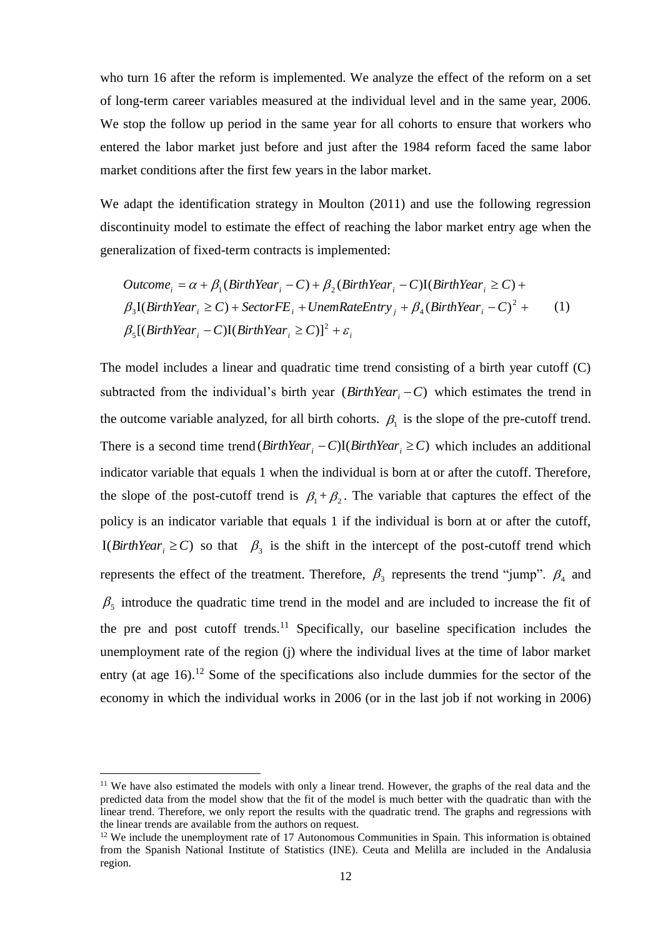who turn 16 after the reform is implemented. We analyze the effect of the reform on a set of long-term career variables measured at the individual level and in the same year, 2006. We stop the follow up period in the same year for all cohorts to ensure that workers who entered the labor market just before and just after the 1984 reform faced the same labor market conditions after the first few years in the labor market.

We adapt the identification strategy in Moulton (2011) and use the following regression discontinuity model to estimate the effect of reaching the labor market entry age when the generalization of fixed-term contracts is implemented:

$$
Outcome_i = \alpha + \beta_1 (BirthYear_i - C) + \beta_2 (BirthYear_i - C)I(BirthYear_i \ge C) +
$$
  
\n
$$
\beta_3 I(BirthYear_i \ge C) + SectorFE_i + UnemRateEntry_j + \beta_4 (BirthYear_i - C)^2 +
$$
  
\n
$$
\beta_5 [(BirthYear_i - C)I(BirthYear_i \ge C)]^2 + \varepsilon_i
$$
 (1)

The model includes a linear and quadratic time trend consisting of a birth year cutoff (C) subtracted from the individual's birth year  $(BirthYear_i - C)$  which estimates the trend in the outcome variable analyzed, for all birth cohorts.  $\beta_1$  is the slope of the pre-cutoff trend. There is a second time trend  $(BirthYear_i - C)I(BirthYear_i \ge C)$  which includes an additional indicator variable that equals 1 when the individual is born at or after the cutoff. Therefore, the slope of the post-cutoff trend is  $\beta_1 + \beta_2$ . The variable that captures the effect of the policy is an indicator variable that equals 1 if the individual is born at or after the cutoff, I(*BirthYear*<sub>i</sub>  $\geq$  *C*) so that  $\beta_3$  is the shift in the intercept of the post-cutoff trend which represents the effect of the treatment. Therefore,  $\beta_3$  represents the trend "jump".  $\beta_4$  and  $\beta_5$  introduce the quadratic time trend in the model and are included to increase the fit of the pre and post cutoff trends.<sup>11</sup> Specifically, our baseline specification includes the unemployment rate of the region (j) where the individual lives at the time of labor market entry (at age  $16$ ).<sup>12</sup> Some of the specifications also include dummies for the sector of the economy in which the individual works in 2006 (or in the last job if not working in 2006)

<sup>&</sup>lt;sup>11</sup> We have also estimated the models with only a linear trend. However, the graphs of the real data and the predicted data from the model show that the fit of the model is much better with the quadratic than with the linear trend. Therefore, we only report the results with the quadratic trend. The graphs and regressions with the linear trends are available from the authors on request.

 $12$  We include the unemployment rate of 17 Autonomous Communities in Spain. This information is obtained from the Spanish National Institute of Statistics (INE). Ceuta and Melilla are included in the Andalusia region.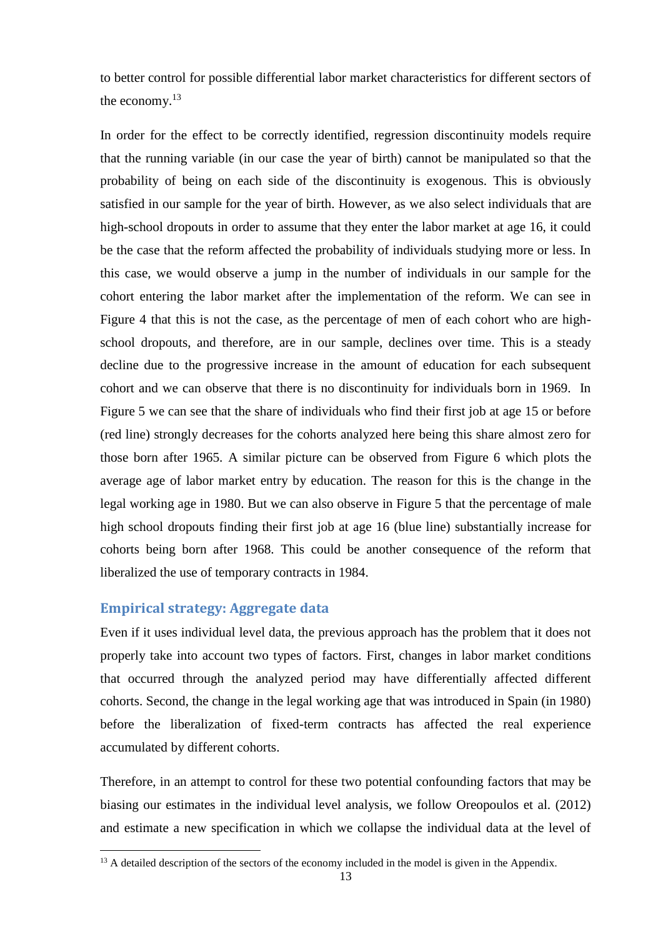to better control for possible differential labor market characteristics for different sectors of the economy.<sup>13</sup>

In order for the effect to be correctly identified, regression discontinuity models require that the running variable (in our case the year of birth) cannot be manipulated so that the probability of being on each side of the discontinuity is exogenous. This is obviously satisfied in our sample for the year of birth. However, as we also select individuals that are high-school dropouts in order to assume that they enter the labor market at age 16, it could be the case that the reform affected the probability of individuals studying more or less. In this case, we would observe a jump in the number of individuals in our sample for the cohort entering the labor market after the implementation of the reform. We can see in Figure 4 that this is not the case, as the percentage of men of each cohort who are highschool dropouts, and therefore, are in our sample, declines over time. This is a steady decline due to the progressive increase in the amount of education for each subsequent cohort and we can observe that there is no discontinuity for individuals born in 1969. In Figure 5 we can see that the share of individuals who find their first job at age 15 or before (red line) strongly decreases for the cohorts analyzed here being this share almost zero for those born after 1965. A similar picture can be observed from Figure 6 which plots the average age of labor market entry by education. The reason for this is the change in the legal working age in 1980. But we can also observe in Figure 5 that the percentage of male high school dropouts finding their first job at age 16 (blue line) substantially increase for cohorts being born after 1968. This could be another consequence of the reform that liberalized the use of temporary contracts in 1984.

# **Empirical strategy: Aggregate data**

1

Even if it uses individual level data, the previous approach has the problem that it does not properly take into account two types of factors. First, changes in labor market conditions that occurred through the analyzed period may have differentially affected different cohorts. Second, the change in the legal working age that was introduced in Spain (in 1980) before the liberalization of fixed-term contracts has affected the real experience accumulated by different cohorts.

Therefore, in an attempt to control for these two potential confounding factors that may be biasing our estimates in the individual level analysis, we follow Oreopoulos et al. (2012) and estimate a new specification in which we collapse the individual data at the level of

<sup>&</sup>lt;sup>13</sup> A detailed description of the sectors of the economy included in the model is given in the Appendix.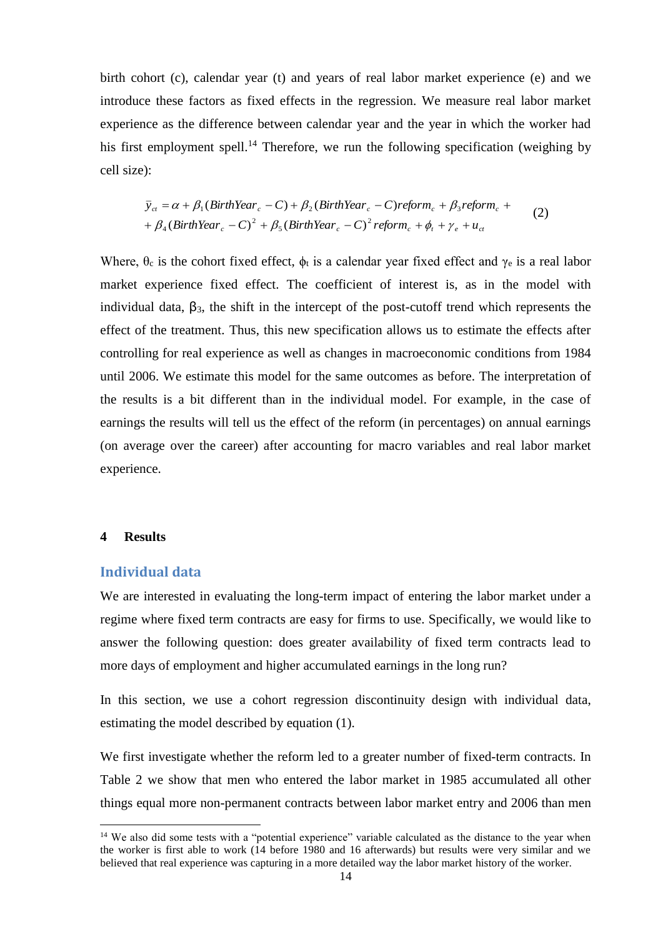birth cohort (c), calendar year (t) and years of real labor market experience (e) and we introduce these factors as fixed effects in the regression. We measure real labor market experience as the difference between calendar year and the year in which the worker had his first employment spell.<sup>14</sup> Therefore, we run the following specification (weighing by cell size):

$$
\overline{y}_{ct} = \alpha + \beta_1 (BirthYear_c - C) + \beta_2 (BirthYear_c - C) reform_c + \beta_3 reform_c ++ \beta_4 (BirthYear_c - C)^2 + \beta_5 (BirthYear_c - C)^2 reform_c + \phi_t + \gamma_e + u_{ct}
$$
\n(2)

Where,  $\theta_c$  is the cohort fixed effect,  $\phi_t$  is a calendar year fixed effect and  $\gamma_e$  is a real labor market experience fixed effect. The coefficient of interest is, as in the model with individual data,  $\beta_3$ , the shift in the intercept of the post-cutoff trend which represents the effect of the treatment. Thus, this new specification allows us to estimate the effects after controlling for real experience as well as changes in macroeconomic conditions from 1984 until 2006. We estimate this model for the same outcomes as before. The interpretation of the results is a bit different than in the individual model. For example, in the case of earnings the results will tell us the effect of the reform (in percentages) on annual earnings (on average over the career) after accounting for macro variables and real labor market experience.

## **4 Results**

1

## **Individual data**

We are interested in evaluating the long-term impact of entering the labor market under a regime where fixed term contracts are easy for firms to use. Specifically, we would like to answer the following question: does greater availability of fixed term contracts lead to more days of employment and higher accumulated earnings in the long run?

In this section, we use a cohort regression discontinuity design with individual data, estimating the model described by equation (1).

We first investigate whether the reform led to a greater number of fixed-term contracts. In Table 2 we show that men who entered the labor market in 1985 accumulated all other things equal more non-permanent contracts between labor market entry and 2006 than men

<sup>&</sup>lt;sup>14</sup> We also did some tests with a "potential experience" variable calculated as the distance to the year when the worker is first able to work (14 before 1980 and 16 afterwards) but results were very similar and we believed that real experience was capturing in a more detailed way the labor market history of the worker.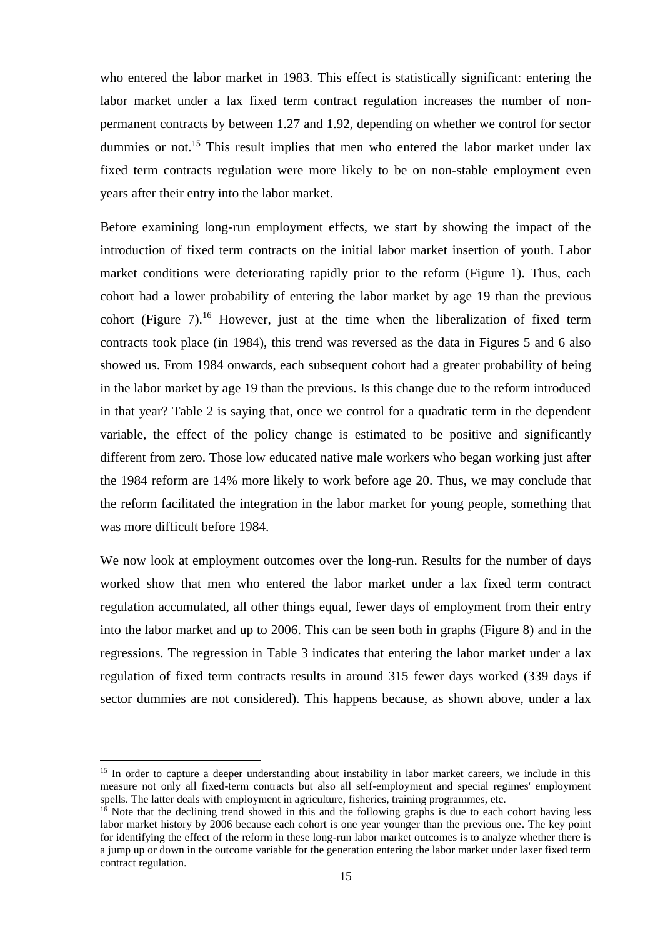who entered the labor market in 1983. This effect is statistically significant: entering the labor market under a lax fixed term contract regulation increases the number of nonpermanent contracts by between 1.27 and 1.92, depending on whether we control for sector dummies or not.<sup>15</sup> This result implies that men who entered the labor market under lax fixed term contracts regulation were more likely to be on non-stable employment even years after their entry into the labor market.

Before examining long-run employment effects, we start by showing the impact of the introduction of fixed term contracts on the initial labor market insertion of youth. Labor market conditions were deteriorating rapidly prior to the reform (Figure 1). Thus, each cohort had a lower probability of entering the labor market by age 19 than the previous cohort (Figure 7).<sup>16</sup> However, just at the time when the liberalization of fixed term contracts took place (in 1984), this trend was reversed as the data in Figures 5 and 6 also showed us. From 1984 onwards, each subsequent cohort had a greater probability of being in the labor market by age 19 than the previous. Is this change due to the reform introduced in that year? Table 2 is saying that, once we control for a quadratic term in the dependent variable, the effect of the policy change is estimated to be positive and significantly different from zero. Those low educated native male workers who began working just after the 1984 reform are 14% more likely to work before age 20. Thus, we may conclude that the reform facilitated the integration in the labor market for young people, something that was more difficult before 1984.

We now look at employment outcomes over the long-run. Results for the number of days worked show that men who entered the labor market under a lax fixed term contract regulation accumulated, all other things equal, fewer days of employment from their entry into the labor market and up to 2006. This can be seen both in graphs (Figure 8) and in the regressions. The regression in Table 3 indicates that entering the labor market under a lax regulation of fixed term contracts results in around 315 fewer days worked (339 days if sector dummies are not considered). This happens because, as shown above, under a lax

<u>.</u>

<sup>&</sup>lt;sup>15</sup> In order to capture a deeper understanding about instability in labor market careers, we include in this measure not only all fixed-term contracts but also all self-employment and special regimes' employment spells. The latter deals with employment in agriculture, fisheries, training programmes, etc.

 $16$  Note that the declining trend showed in this and the following graphs is due to each cohort having less labor market history by 2006 because each cohort is one year younger than the previous one. The key point for identifying the effect of the reform in these long-run labor market outcomes is to analyze whether there is a jump up or down in the outcome variable for the generation entering the labor market under laxer fixed term contract regulation.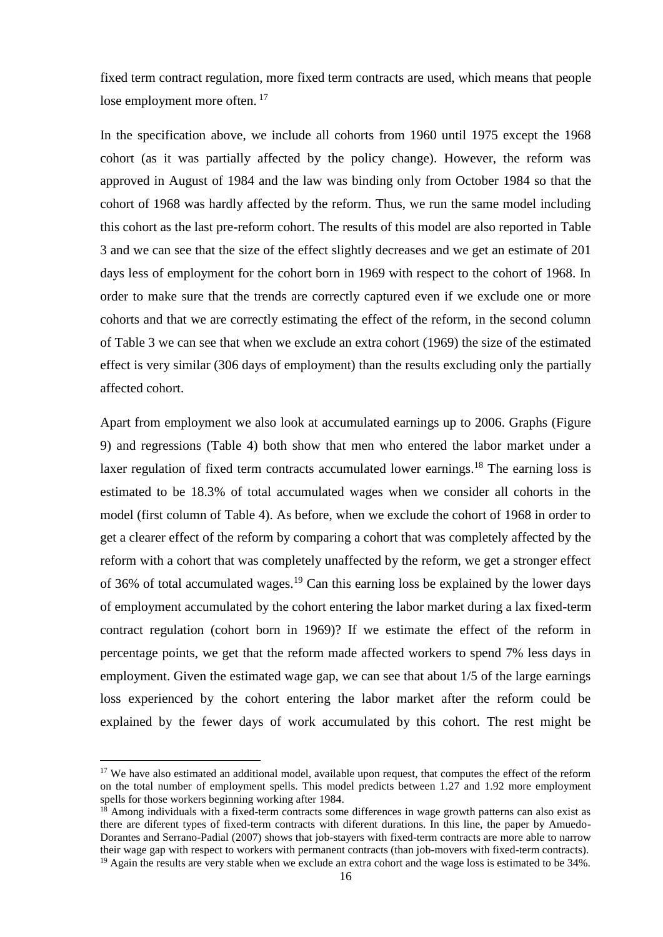fixed term contract regulation, more fixed term contracts are used, which means that people lose employment more often.<sup>17</sup>

In the specification above, we include all cohorts from 1960 until 1975 except the 1968 cohort (as it was partially affected by the policy change). However, the reform was approved in August of 1984 and the law was binding only from October 1984 so that the cohort of 1968 was hardly affected by the reform. Thus, we run the same model including this cohort as the last pre-reform cohort. The results of this model are also reported in Table 3 and we can see that the size of the effect slightly decreases and we get an estimate of 201 days less of employment for the cohort born in 1969 with respect to the cohort of 1968. In order to make sure that the trends are correctly captured even if we exclude one or more cohorts and that we are correctly estimating the effect of the reform, in the second column of Table 3 we can see that when we exclude an extra cohort (1969) the size of the estimated effect is very similar (306 days of employment) than the results excluding only the partially affected cohort.

Apart from employment we also look at accumulated earnings up to 2006. Graphs (Figure 9) and regressions (Table 4) both show that men who entered the labor market under a laxer regulation of fixed term contracts accumulated lower earnings.<sup>18</sup> The earning loss is estimated to be 18.3% of total accumulated wages when we consider all cohorts in the model (first column of Table 4). As before, when we exclude the cohort of 1968 in order to get a clearer effect of the reform by comparing a cohort that was completely affected by the reform with a cohort that was completely unaffected by the reform, we get a stronger effect of 36% of total accumulated wages.<sup>19</sup> Can this earning loss be explained by the lower days of employment accumulated by the cohort entering the labor market during a lax fixed-term contract regulation (cohort born in 1969)? If we estimate the effect of the reform in percentage points, we get that the reform made affected workers to spend 7% less days in employment. Given the estimated wage gap, we can see that about 1/5 of the large earnings loss experienced by the cohort entering the labor market after the reform could be explained by the fewer days of work accumulated by this cohort. The rest might be

<u>.</u>

<sup>&</sup>lt;sup>17</sup> We have also estimated an additional model, available upon request, that computes the effect of the reform on the total number of employment spells. This model predicts between 1.27 and 1.92 more employment spells for those workers beginning working after 1984.

 $18$  Among individuals with a fixed-term contracts some differences in wage growth patterns can also exist as there are diferent types of fixed-term contracts with diferent durations. In this line, the paper by Amuedo-Dorantes and Serrano-Padial (2007) shows that job-stayers with fixed-term contracts are more able to narrow their wage gap with respect to workers with permanent contracts (than job-movers with fixed-term contracts).

<sup>&</sup>lt;sup>19</sup> Again the results are very stable when we exclude an extra cohort and the wage loss is estimated to be 34%.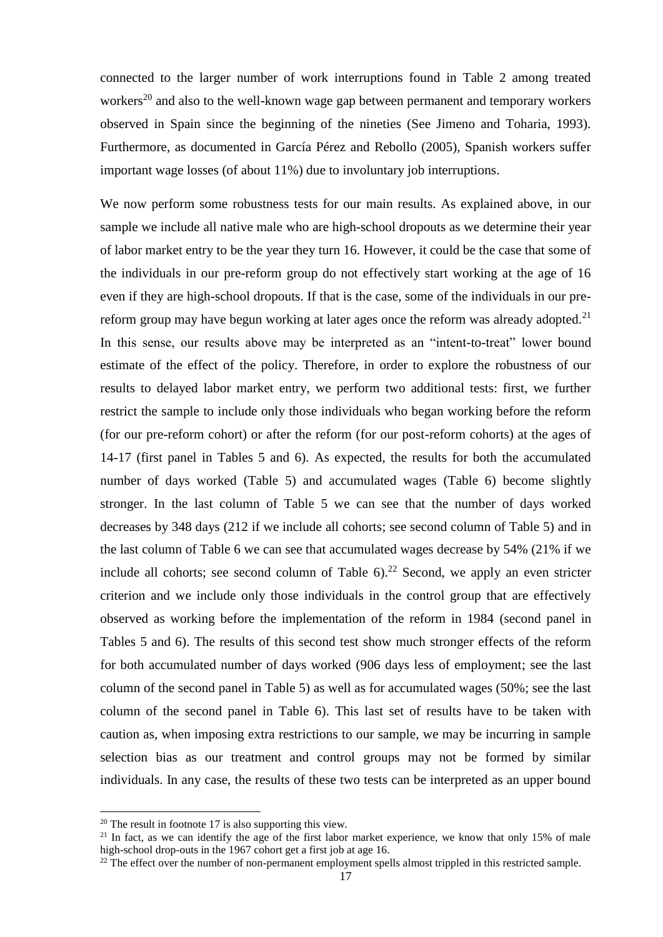connected to the larger number of work interruptions found in Table 2 among treated workers<sup>20</sup> and also to the well-known wage gap between permanent and temporary workers observed in Spain since the beginning of the nineties (See Jimeno and Toharia, 1993). Furthermore, as documented in García Pérez and Rebollo (2005), Spanish workers suffer important wage losses (of about 11%) due to involuntary job interruptions.

We now perform some robustness tests for our main results. As explained above, in our sample we include all native male who are high-school dropouts as we determine their year of labor market entry to be the year they turn 16. However, it could be the case that some of the individuals in our pre-reform group do not effectively start working at the age of 16 even if they are high-school dropouts. If that is the case, some of the individuals in our prereform group may have begun working at later ages once the reform was already adopted.<sup>21</sup> In this sense, our results above may be interpreted as an "intent-to-treat" lower bound estimate of the effect of the policy. Therefore, in order to explore the robustness of our results to delayed labor market entry, we perform two additional tests: first, we further restrict the sample to include only those individuals who began working before the reform (for our pre-reform cohort) or after the reform (for our post-reform cohorts) at the ages of 14-17 (first panel in Tables 5 and 6). As expected, the results for both the accumulated number of days worked (Table 5) and accumulated wages (Table 6) become slightly stronger. In the last column of Table 5 we can see that the number of days worked decreases by 348 days (212 if we include all cohorts; see second column of Table 5) and in the last column of Table 6 we can see that accumulated wages decrease by 54% (21% if we include all cohorts; see second column of Table  $6$ ).<sup>22</sup> Second, we apply an even stricter criterion and we include only those individuals in the control group that are effectively observed as working before the implementation of the reform in 1984 (second panel in Tables 5 and 6). The results of this second test show much stronger effects of the reform for both accumulated number of days worked (906 days less of employment; see the last column of the second panel in Table 5) as well as for accumulated wages (50%; see the last column of the second panel in Table 6). This last set of results have to be taken with caution as, when imposing extra restrictions to our sample, we may be incurring in sample selection bias as our treatment and control groups may not be formed by similar individuals. In any case, the results of these two tests can be interpreted as an upper bound

 $20$  The result in footnote 17 is also supporting this view.

<sup>&</sup>lt;sup>21</sup> In fact, as we can identify the age of the first labor market experience, we know that only 15% of male high-school drop-outs in the 1967 cohort get a first job at age 16.

<sup>&</sup>lt;sup>22</sup> The effect over the number of non-permanent employment spells almost trippled in this restricted sample.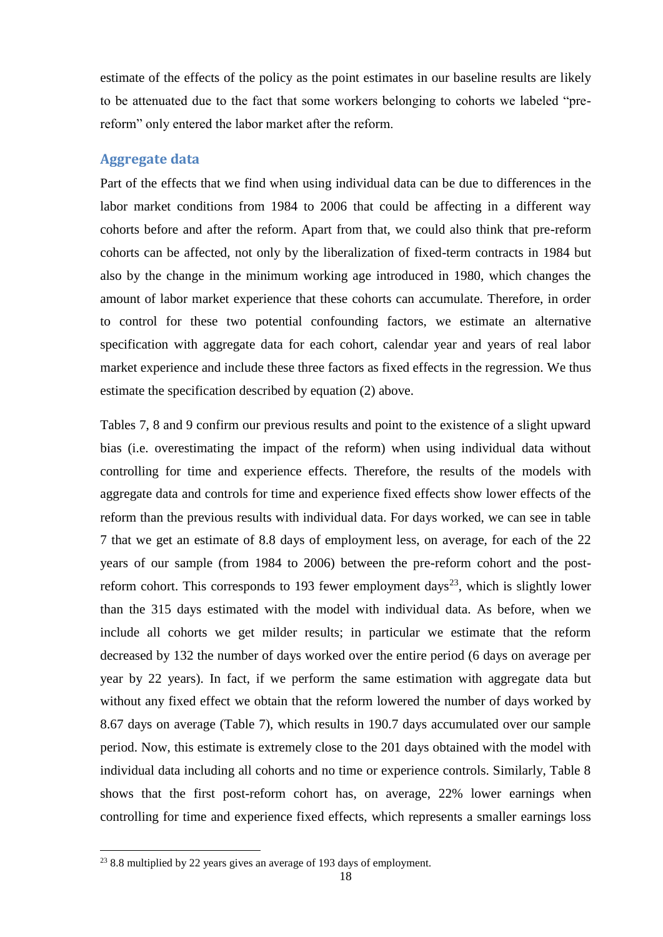estimate of the effects of the policy as the point estimates in our baseline results are likely to be attenuated due to the fact that some workers belonging to cohorts we labeled "prereform" only entered the labor market after the reform.

## **Aggregate data**

Part of the effects that we find when using individual data can be due to differences in the labor market conditions from 1984 to 2006 that could be affecting in a different way cohorts before and after the reform. Apart from that, we could also think that pre-reform cohorts can be affected, not only by the liberalization of fixed-term contracts in 1984 but also by the change in the minimum working age introduced in 1980, which changes the amount of labor market experience that these cohorts can accumulate. Therefore, in order to control for these two potential confounding factors, we estimate an alternative specification with aggregate data for each cohort, calendar year and years of real labor market experience and include these three factors as fixed effects in the regression. We thus estimate the specification described by equation (2) above.

Tables 7, 8 and 9 confirm our previous results and point to the existence of a slight upward bias (i.e. overestimating the impact of the reform) when using individual data without controlling for time and experience effects. Therefore, the results of the models with aggregate data and controls for time and experience fixed effects show lower effects of the reform than the previous results with individual data. For days worked, we can see in table 7 that we get an estimate of 8.8 days of employment less, on average, for each of the 22 years of our sample (from 1984 to 2006) between the pre-reform cohort and the postreform cohort. This corresponds to 193 fewer employment days<sup>23</sup>, which is slightly lower than the 315 days estimated with the model with individual data. As before, when we include all cohorts we get milder results; in particular we estimate that the reform decreased by 132 the number of days worked over the entire period (6 days on average per year by 22 years). In fact, if we perform the same estimation with aggregate data but without any fixed effect we obtain that the reform lowered the number of days worked by 8.67 days on average (Table 7), which results in 190.7 days accumulated over our sample period. Now, this estimate is extremely close to the 201 days obtained with the model with individual data including all cohorts and no time or experience controls. Similarly, Table 8 shows that the first post-reform cohort has, on average, 22% lower earnings when controlling for time and experience fixed effects, which represents a smaller earnings loss

<sup>23</sup> 8.8 multiplied by 22 years gives an average of 193 days of employment.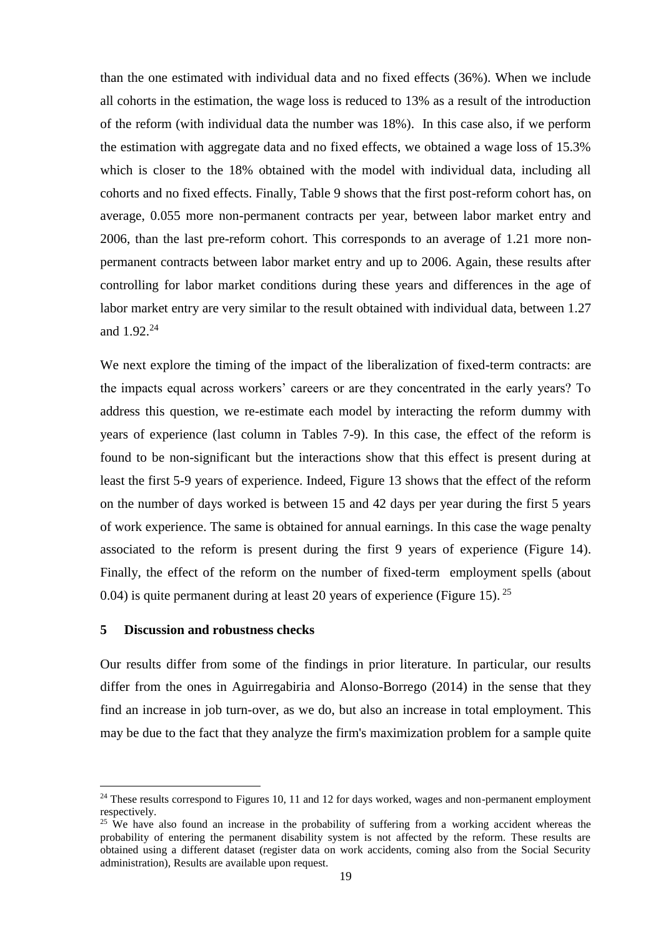than the one estimated with individual data and no fixed effects (36%). When we include all cohorts in the estimation, the wage loss is reduced to 13% as a result of the introduction of the reform (with individual data the number was 18%). In this case also, if we perform the estimation with aggregate data and no fixed effects, we obtained a wage loss of 15.3% which is closer to the 18% obtained with the model with individual data, including all cohorts and no fixed effects. Finally, Table 9 shows that the first post-reform cohort has, on average, 0.055 more non-permanent contracts per year, between labor market entry and 2006, than the last pre-reform cohort. This corresponds to an average of 1.21 more nonpermanent contracts between labor market entry and up to 2006. Again, these results after controlling for labor market conditions during these years and differences in the age of labor market entry are very similar to the result obtained with individual data, between 1.27 and  $1.92^{24}$ 

We next explore the timing of the impact of the liberalization of fixed-term contracts: are the impacts equal across workers' careers or are they concentrated in the early years? To address this question, we re-estimate each model by interacting the reform dummy with years of experience (last column in Tables 7-9). In this case, the effect of the reform is found to be non-significant but the interactions show that this effect is present during at least the first 5-9 years of experience. Indeed, Figure 13 shows that the effect of the reform on the number of days worked is between 15 and 42 days per year during the first 5 years of work experience. The same is obtained for annual earnings. In this case the wage penalty associated to the reform is present during the first 9 years of experience (Figure 14). Finally, the effect of the reform on the number of fixed-term employment spells (about 0.04) is quite permanent during at least 20 years of experience (Figure 15).  $^{25}$ 

# **5 Discussion and robustness checks**

1

Our results differ from some of the findings in prior literature. In particular, our results differ from the ones in Aguirregabiria and Alonso-Borrego (2014) in the sense that they find an increase in job turn-over, as we do, but also an increase in total employment. This may be due to the fact that they analyze the firm's maximization problem for a sample quite

<sup>&</sup>lt;sup>24</sup> These results correspond to Figures 10, 11 and 12 for days worked, wages and non-permanent employment respectively.

<sup>&</sup>lt;sup>25</sup> We have also found an increase in the probability of suffering from a working accident whereas the probability of entering the permanent disability system is not affected by the reform. These results are obtained using a different dataset (register data on work accidents, coming also from the Social Security administration), Results are available upon request.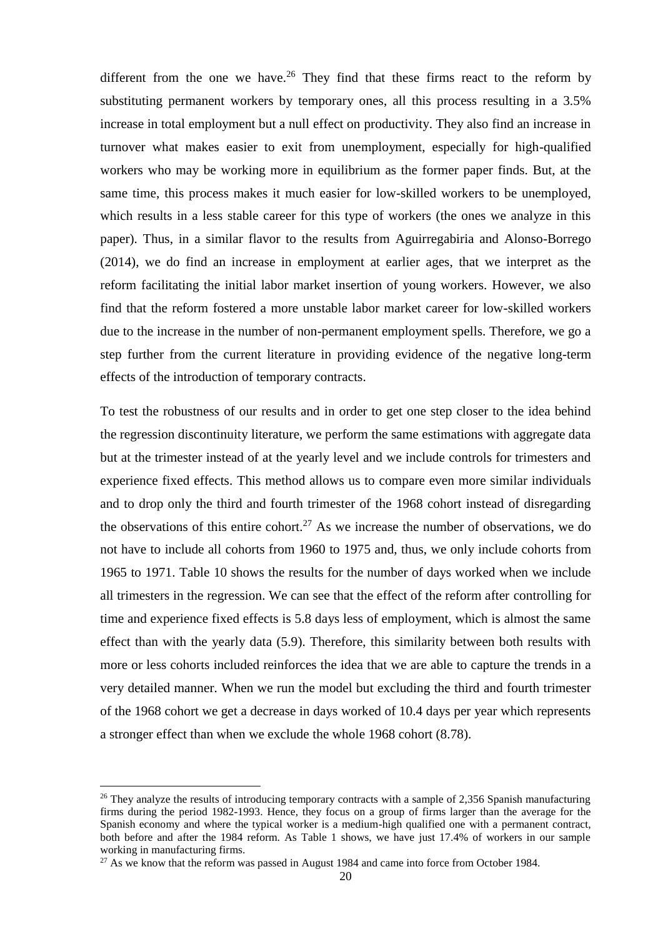different from the one we have.<sup>26</sup> They find that these firms react to the reform by substituting permanent workers by temporary ones, all this process resulting in a 3.5% increase in total employment but a null effect on productivity. They also find an increase in turnover what makes easier to exit from unemployment, especially for high-qualified workers who may be working more in equilibrium as the former paper finds. But, at the same time, this process makes it much easier for low-skilled workers to be unemployed, which results in a less stable career for this type of workers (the ones we analyze in this paper). Thus, in a similar flavor to the results from Aguirregabiria and Alonso-Borrego (2014), we do find an increase in employment at earlier ages, that we interpret as the reform facilitating the initial labor market insertion of young workers. However, we also find that the reform fostered a more unstable labor market career for low-skilled workers due to the increase in the number of non-permanent employment spells. Therefore, we go a step further from the current literature in providing evidence of the negative long-term effects of the introduction of temporary contracts.

To test the robustness of our results and in order to get one step closer to the idea behind the regression discontinuity literature, we perform the same estimations with aggregate data but at the trimester instead of at the yearly level and we include controls for trimesters and experience fixed effects. This method allows us to compare even more similar individuals and to drop only the third and fourth trimester of the 1968 cohort instead of disregarding the observations of this entire cohort.<sup>27</sup> As we increase the number of observations, we do not have to include all cohorts from 1960 to 1975 and, thus, we only include cohorts from 1965 to 1971. Table 10 shows the results for the number of days worked when we include all trimesters in the regression. We can see that the effect of the reform after controlling for time and experience fixed effects is 5.8 days less of employment, which is almost the same effect than with the yearly data (5.9). Therefore, this similarity between both results with more or less cohorts included reinforces the idea that we are able to capture the trends in a very detailed manner. When we run the model but excluding the third and fourth trimester of the 1968 cohort we get a decrease in days worked of 10.4 days per year which represents a stronger effect than when we exclude the whole 1968 cohort (8.78).

<sup>&</sup>lt;sup>26</sup> They analyze the results of introducing temporary contracts with a sample of 2,356 Spanish manufacturing firms during the period 1982-1993. Hence, they focus on a group of firms larger than the average for the Spanish economy and where the typical worker is a medium-high qualified one with a permanent contract, both before and after the 1984 reform. As Table 1 shows, we have just 17.4% of workers in our sample working in manufacturing firms.

 $27$  As we know that the reform was passed in August 1984 and came into force from October 1984.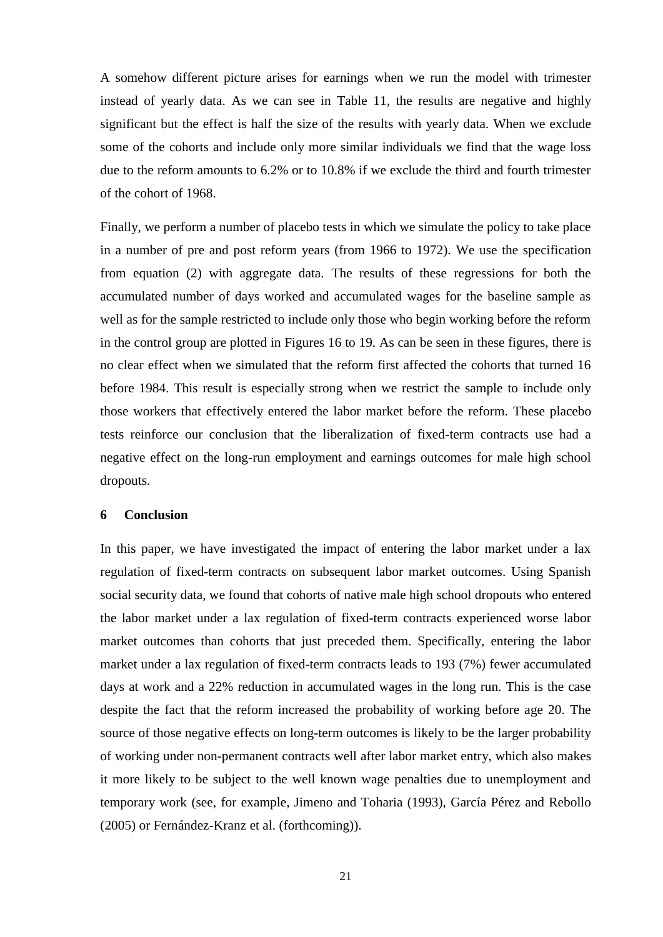A somehow different picture arises for earnings when we run the model with trimester instead of yearly data. As we can see in Table 11, the results are negative and highly significant but the effect is half the size of the results with yearly data. When we exclude some of the cohorts and include only more similar individuals we find that the wage loss due to the reform amounts to 6.2% or to 10.8% if we exclude the third and fourth trimester of the cohort of 1968.

Finally, we perform a number of placebo tests in which we simulate the policy to take place in a number of pre and post reform years (from 1966 to 1972). We use the specification from equation (2) with aggregate data. The results of these regressions for both the accumulated number of days worked and accumulated wages for the baseline sample as well as for the sample restricted to include only those who begin working before the reform in the control group are plotted in Figures 16 to 19. As can be seen in these figures, there is no clear effect when we simulated that the reform first affected the cohorts that turned 16 before 1984. This result is especially strong when we restrict the sample to include only those workers that effectively entered the labor market before the reform. These placebo tests reinforce our conclusion that the liberalization of fixed-term contracts use had a negative effect on the long-run employment and earnings outcomes for male high school dropouts.

## **6 Conclusion**

In this paper, we have investigated the impact of entering the labor market under a lax regulation of fixed-term contracts on subsequent labor market outcomes. Using Spanish social security data, we found that cohorts of native male high school dropouts who entered the labor market under a lax regulation of fixed-term contracts experienced worse labor market outcomes than cohorts that just preceded them. Specifically, entering the labor market under a lax regulation of fixed-term contracts leads to 193 (7%) fewer accumulated days at work and a 22% reduction in accumulated wages in the long run. This is the case despite the fact that the reform increased the probability of working before age 20. The source of those negative effects on long-term outcomes is likely to be the larger probability of working under non-permanent contracts well after labor market entry, which also makes it more likely to be subject to the well known wage penalties due to unemployment and temporary work (see, for example, Jimeno and Toharia (1993), García Pérez and Rebollo (2005) or Fernández-Kranz et al. (forthcoming)).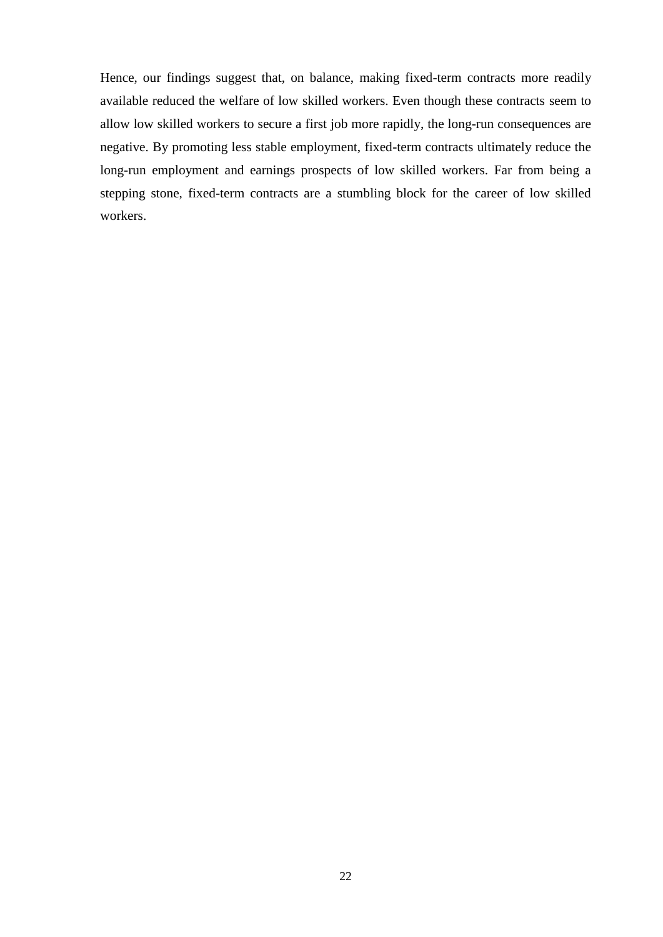Hence, our findings suggest that, on balance, making fixed-term contracts more readily available reduced the welfare of low skilled workers. Even though these contracts seem to allow low skilled workers to secure a first job more rapidly, the long-run consequences are negative. By promoting less stable employment, fixed-term contracts ultimately reduce the long-run employment and earnings prospects of low skilled workers. Far from being a stepping stone, fixed-term contracts are a stumbling block for the career of low skilled workers.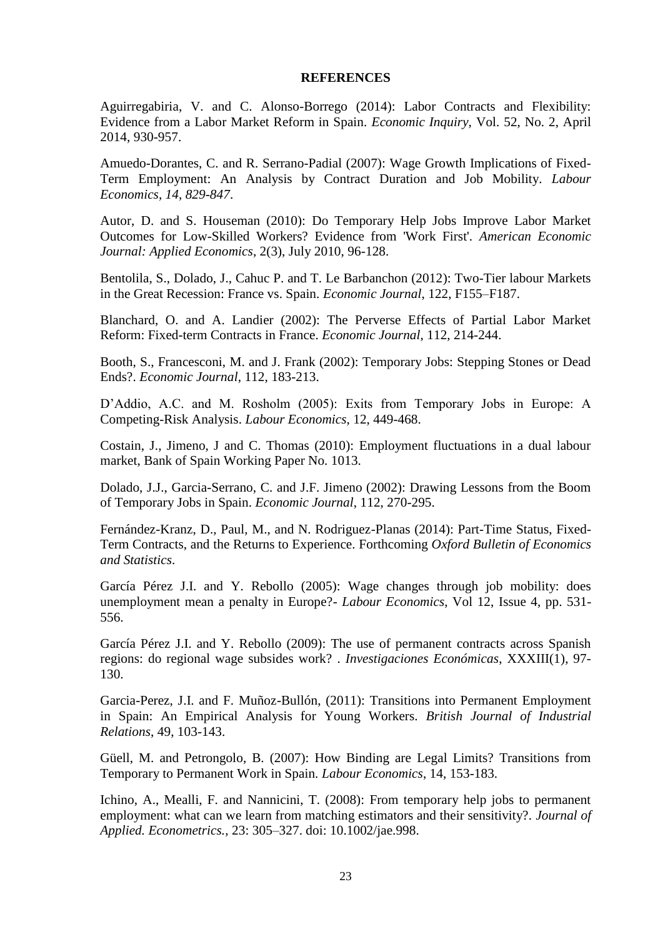## **REFERENCES**

Aguirregabiria, V. and C. Alonso-Borrego (2014): Labor Contracts and Flexibility: Evidence from a Labor Market Reform in Spain. *Economic Inquiry*, Vol. 52, No. 2, April 2014, 930-957.

Amuedo-Dorantes, C. and R. Serrano-Padial (2007): Wage Growth Implications of Fixed-Term Employment: An Analysis by Contract Duration and Job Mobility. *Labour Economics, 14, 829-847*.

Autor, D. and S. Houseman (2010): Do Temporary Help Jobs Improve Labor Market Outcomes for Low-Skilled Workers? Evidence from 'Work First'. *American Economic Journal: Applied Economics*, 2(3), July 2010, 96-128.

Bentolila, S., Dolado, J., Cahuc P. and T. Le Barbanchon (2012): Two-Tier labour Markets in the Great Recession: France vs. Spain. *Economic Journal*, 122, F155–F187.

Blanchard, O. and A. Landier (2002): The Perverse Effects of Partial Labor Market Reform: Fixed-term Contracts in France. *Economic Journal*, 112, 214-244.

Booth, S., Francesconi, M. and J. Frank (2002): Temporary Jobs: Stepping Stones or Dead Ends?. *Economic Journal*, 112, 183-213.

D'Addio, A.C. and M. Rosholm (2005): Exits from Temporary Jobs in Europe: A Competing-Risk Analysis. *Labour Economics*, 12, 449-468.

Costain, J., Jimeno, J and C. Thomas (2010): Employment fluctuations in a dual labour market, Bank of Spain Working Paper No. 1013.

Dolado, J.J., Garcia-Serrano, C. and J.F. Jimeno (2002): Drawing Lessons from the Boom of Temporary Jobs in Spain. *Economic Journal*, 112, 270-295.

Fernández-Kranz, D., Paul, M., and N. Rodriguez-Planas (2014): Part-Time Status, Fixed-Term Contracts, and the Returns to Experience. Forthcoming *Oxford Bulletin of Economics and Statistics*.

García Pérez J.I. and Y. Rebollo (2005): Wage changes through job mobility: does unemployment mean a penalty in Europe?- *Labour Economics*, Vol 12, Issue 4, pp. 531- 556.

García Pérez J.I. and Y. Rebollo (2009): The use of permanent contracts across Spanish regions: do regional wage subsides work? . *Investigaciones Económicas*, XXXIII(1), 97- 130.

Garcia-Perez, J.I. and F. Muñoz-Bullón, (2011): Transitions into Permanent Employment in Spain: An Empirical Analysis for Young Workers. *British Journal of Industrial Relations*, 49, 103-143.

Güell, M. and Petrongolo, B. (2007): How Binding are Legal Limits? Transitions from Temporary to Permanent Work in Spain. *Labour Economics*, 14, 153-183.

Ichino, A., Mealli, F. and Nannicini, T. (2008): From temporary help jobs to permanent employment: what can we learn from matching estimators and their sensitivity?. *Journal of Applied. Econometrics.*, 23: 305–327. doi: 10.1002/jae.998.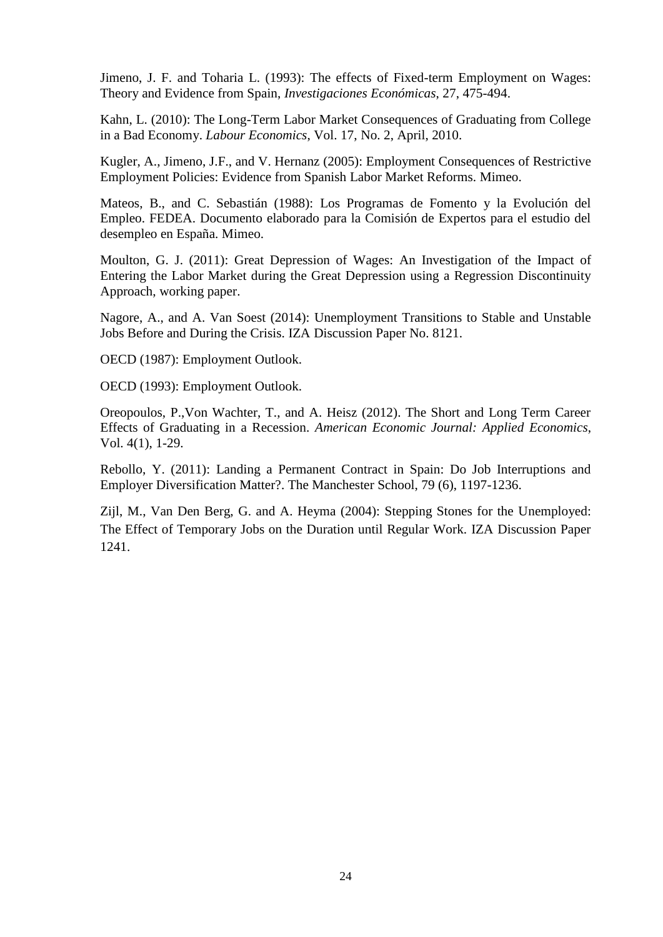Jimeno, J. F. and Toharia L. (1993): The effects of Fixed-term Employment on Wages: Theory and Evidence from Spain, *Investigaciones Económicas*, 27, 475-494.

Kahn, L. (2010): The Long-Term Labor Market Consequences of Graduating from College in a Bad Economy. *Labour Economics*, Vol. 17, No. 2, April, 2010.

Kugler, A., Jimeno, J.F., and V. Hernanz (2005): Employment Consequences of Restrictive Employment Policies: Evidence from Spanish Labor Market Reforms. Mimeo.

Mateos, B., and C. Sebastián (1988): Los Programas de Fomento y la Evolución del Empleo. FEDEA. Documento elaborado para la Comisión de Expertos para el estudio del desempleo en España. Mimeo.

Moulton, G. J. (2011): Great Depression of Wages: An Investigation of the Impact of Entering the Labor Market during the Great Depression using a Regression Discontinuity Approach, working paper.

Nagore, A., and A. Van Soest (2014): Unemployment Transitions to Stable and Unstable Jobs Before and During the Crisis. IZA Discussion Paper No. 8121.

OECD (1987): Employment Outlook.

OECD (1993): Employment Outlook.

Oreopoulos, P.,Von Wachter, T., and A. Heisz (2012). The Short and Long Term Career Effects of Graduating in a Recession. *American Economic Journal: Applied Economics*, Vol. 4(1), 1-29.

Rebollo, Y. (2011): Landing a Permanent Contract in Spain: Do Job Interruptions and Employer Diversification Matter?. The Manchester School, 79 (6), 1197-1236.

Zijl, M., Van Den Berg, G. and A. Heyma (2004): Stepping Stones for the Unemployed: The Effect of Temporary Jobs on the Duration until Regular Work. IZA Discussion Paper 1241.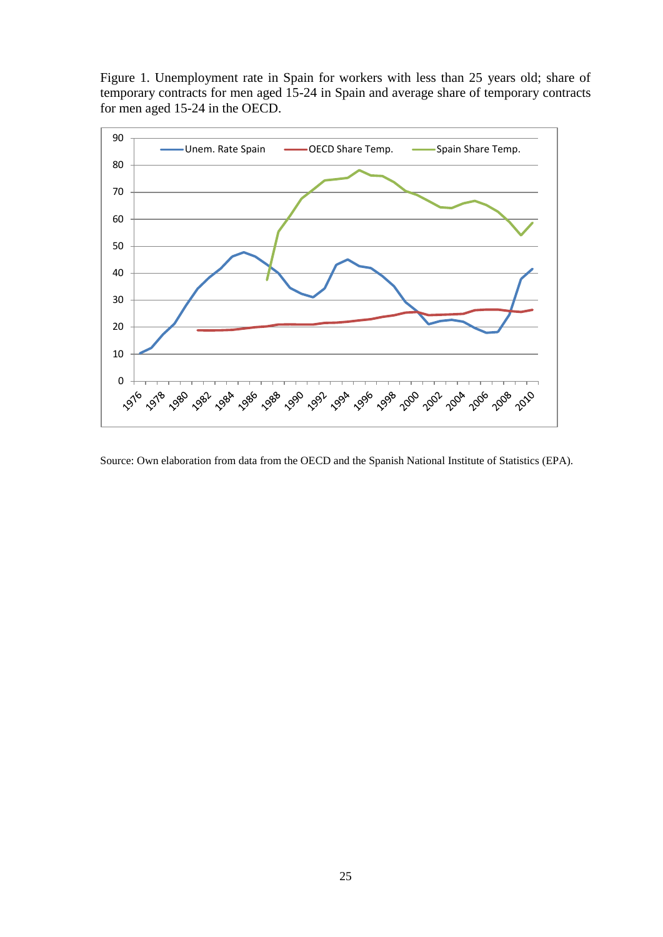Figure 1. Unemployment rate in Spain for workers with less than 25 years old; share of temporary contracts for men aged 15-24 in Spain and average share of temporary contracts for men aged 15-24 in the OECD.



Source: Own elaboration from data from the OECD and the Spanish National Institute of Statistics (EPA).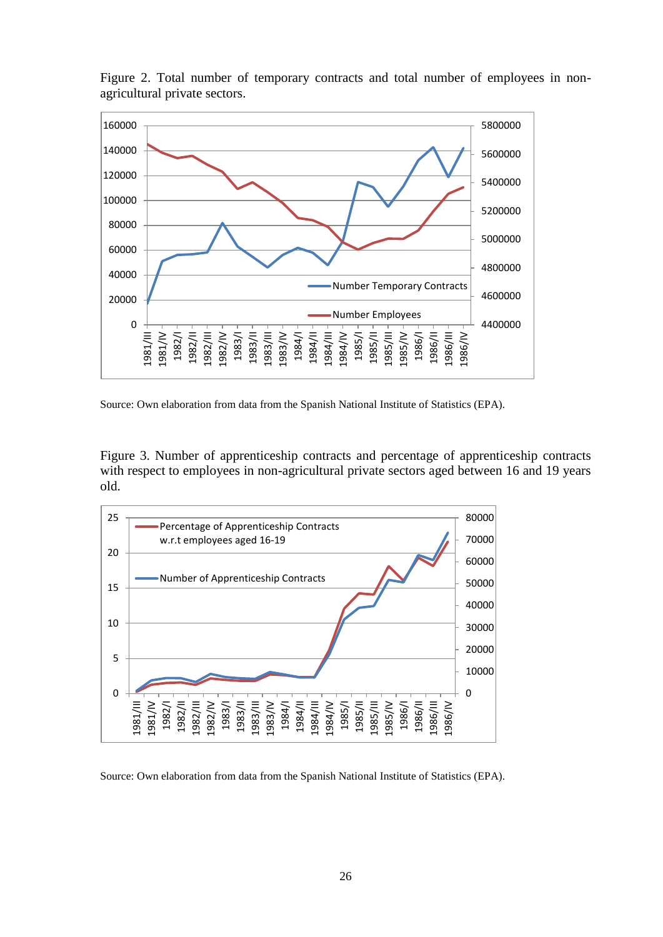

Figure 2. Total number of temporary contracts and total number of employees in nonagricultural private sectors.

Source: Own elaboration from data from the Spanish National Institute of Statistics (EPA).

Figure 3. Number of apprenticeship contracts and percentage of apprenticeship contracts with respect to employees in non-agricultural private sectors aged between 16 and 19 years old.



Source: Own elaboration from data from the Spanish National Institute of Statistics (EPA).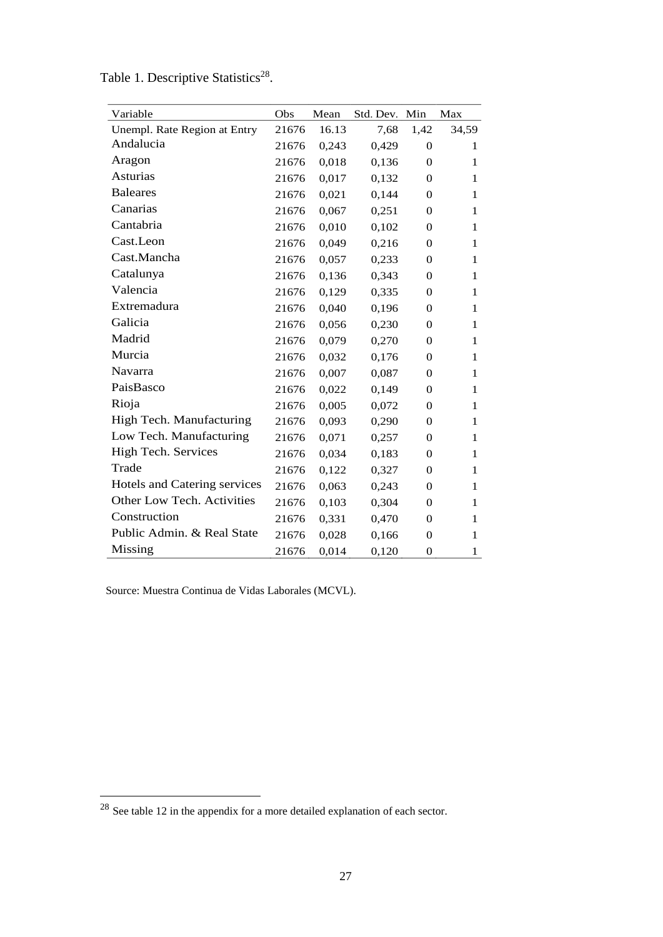| Variable                     | Obs   | Mean  | Std. Dev. | Min              | Max          |
|------------------------------|-------|-------|-----------|------------------|--------------|
| Unempl. Rate Region at Entry | 21676 | 16.13 | 7,68      | 1,42             | 34,59        |
| Andalucia                    | 21676 | 0,243 | 0,429     | $\overline{0}$   | 1            |
| Aragon                       | 21676 | 0,018 | 0,136     | $\overline{0}$   | 1            |
| Asturias                     | 21676 | 0,017 | 0,132     | $\overline{0}$   | 1            |
| <b>Baleares</b>              | 21676 | 0,021 | 0,144     | 0                | 1            |
| Canarias                     | 21676 | 0,067 | 0,251     | $\overline{0}$   | $\mathbf{1}$ |
| Cantabria                    | 21676 | 0,010 | 0,102     | $\overline{0}$   | $\mathbf{1}$ |
| Cast.Leon                    | 21676 | 0,049 | 0,216     | $\theta$         | 1            |
| Cast.Mancha                  | 21676 | 0,057 | 0,233     | $\overline{0}$   | $\mathbf{1}$ |
| Catalunya                    | 21676 | 0,136 | 0,343     | $\overline{0}$   | 1            |
| Valencia                     | 21676 | 0,129 | 0,335     | $\overline{0}$   | 1            |
| Extremadura                  | 21676 | 0,040 | 0,196     | $\boldsymbol{0}$ | $\mathbf{1}$ |
| Galicia                      | 21676 | 0,056 | 0,230     | $\overline{0}$   | 1            |
| Madrid                       | 21676 | 0,079 | 0,270     | $\overline{0}$   | 1            |
| Murcia                       | 21676 | 0,032 | 0,176     | 0                | 1            |
| Navarra                      | 21676 | 0,007 | 0,087     | $\overline{0}$   | 1            |
| PaisBasco                    | 21676 | 0,022 | 0,149     | $\overline{0}$   | 1            |
| Rioja                        | 21676 | 0,005 | 0,072     | $\overline{0}$   | 1            |
| High Tech. Manufacturing     | 21676 | 0,093 | 0,290     | $\overline{0}$   | 1            |
| Low Tech. Manufacturing      | 21676 | 0,071 | 0,257     | 0                | 1            |
| High Tech. Services          | 21676 | 0,034 | 0,183     | 0                | 1            |
| Trade                        | 21676 | 0,122 | 0,327     | $\boldsymbol{0}$ | $\mathbf{1}$ |
| Hotels and Catering services | 21676 | 0,063 | 0,243     | $\overline{0}$   | 1            |
| Other Low Tech. Activities   | 21676 | 0,103 | 0,304     | $\overline{0}$   | 1            |
| Construction                 | 21676 | 0,331 | 0,470     | $\boldsymbol{0}$ | $\mathbf{1}$ |
| Public Admin. & Real State   | 21676 | 0,028 | 0,166     | $\overline{0}$   | 1            |
| Missing                      | 21676 | 0,014 | 0,120     | $\overline{0}$   | 1            |

Table 1. Descriptive Statistics<sup>28</sup>.

Source: Muestra Continua de Vidas Laborales (MCVL).

 $^{28}$  See table 12 in the appendix for a more detailed explanation of each sector.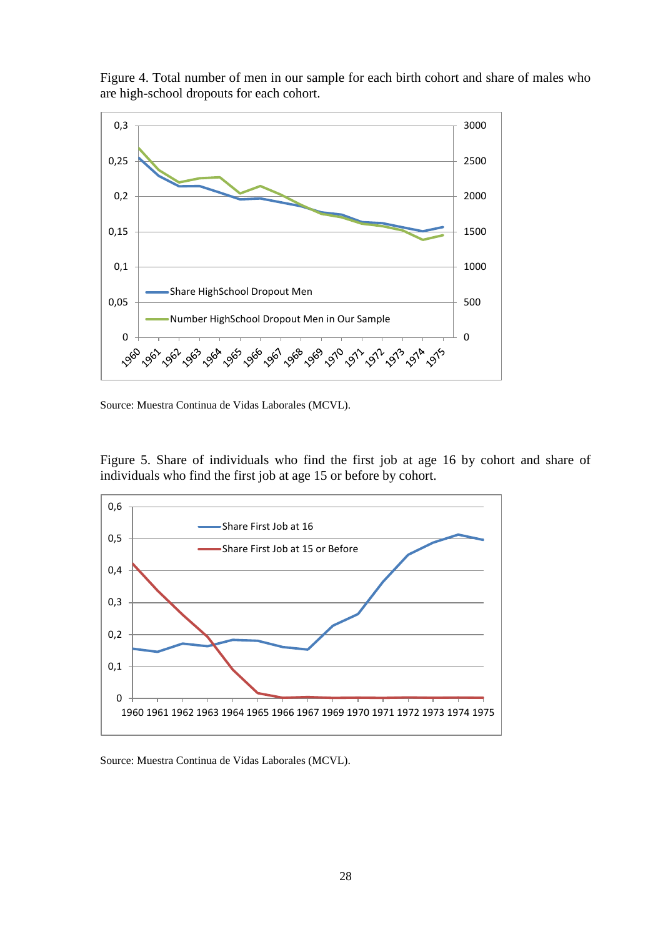

Figure 4. Total number of men in our sample for each birth cohort and share of males who are high-school dropouts for each cohort.

Source: Muestra Continua de Vidas Laborales (MCVL).

Figure 5. Share of individuals who find the first job at age 16 by cohort and share of individuals who find the first job at age 15 or before by cohort.

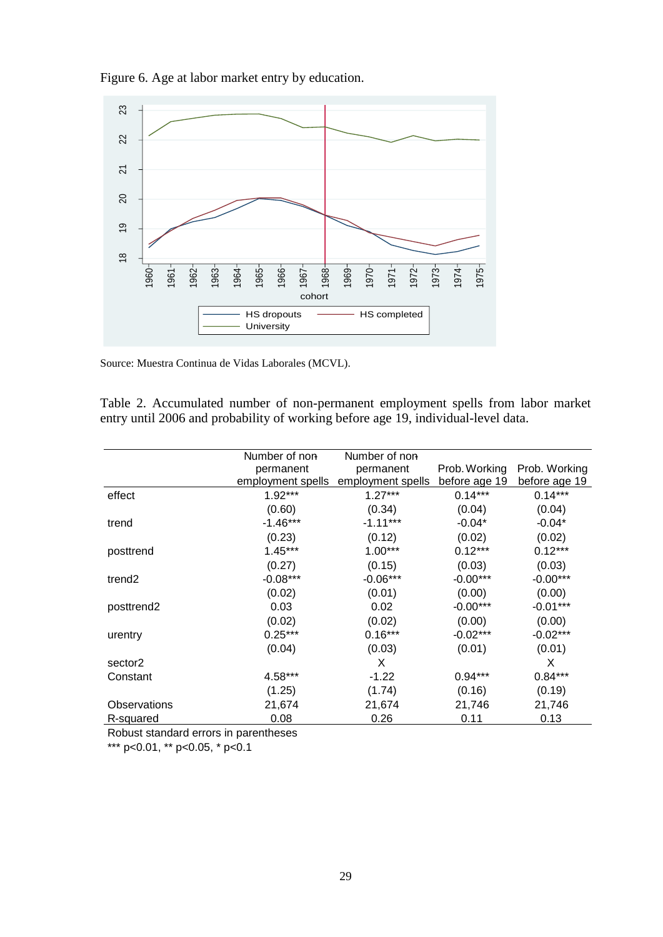Figure 6. Age at labor market entry by education.



Source: Muestra Continua de Vidas Laborales (MCVL).

Table 2. Accumulated number of non-permanent employment spells from labor market entry until 2006 and probability of working before age 19, individual-level data.

|                    | Number of non     | Number of non     |               |               |
|--------------------|-------------------|-------------------|---------------|---------------|
|                    | permanent         | permanent         | Prob. Working | Prob. Working |
|                    | employment spells | employment spells | before age 19 | before age 19 |
| effect             | $1.92***$         | $1.27***$         | $0.14***$     | $0.14***$     |
|                    | (0.60)            | (0.34)            | (0.04)        | (0.04)        |
| trend              | $-1.46***$        | $-1.11***$        | $-0.04*$      | $-0.04*$      |
|                    | (0.23)            | (0.12)            | (0.02)        | (0.02)        |
| posttrend          | $1.45***$         | $1.00***$         | $0.12***$     | $0.12***$     |
|                    | (0.27)            | (0.15)            | (0.03)        | (0.03)        |
| trend <sub>2</sub> | $-0.08***$        | $-0.06***$        | $-0.00***$    | $-0.00***$    |
|                    | (0.02)            | (0.01)            | (0.00)        | (0.00)        |
| posttrend2         | 0.03              | 0.02              | $-0.00***$    | $-0.01***$    |
|                    | (0.02)            | (0.02)            | (0.00)        | (0.00)        |
| urentry            | $0.25***$         | $0.16***$         | $-0.02***$    | $-0.02***$    |
|                    | (0.04)            | (0.03)            | (0.01)        | (0.01)        |
| sector2            |                   | X                 |               | X             |
| Constant           | 4.58***           | $-1.22$           | $0.94***$     | $0.84***$     |
|                    | (1.25)            | (1.74)            | (0.16)        | (0.19)        |
| Observations       | 21,674            | 21,674            | 21,746        | 21,746        |
| R-squared          | 0.08              | 0.26              | 0.11          | 0.13          |

Robust standard errors in parentheses

\*\*\* p<0.01, \*\* p<0.05, \* p<0.1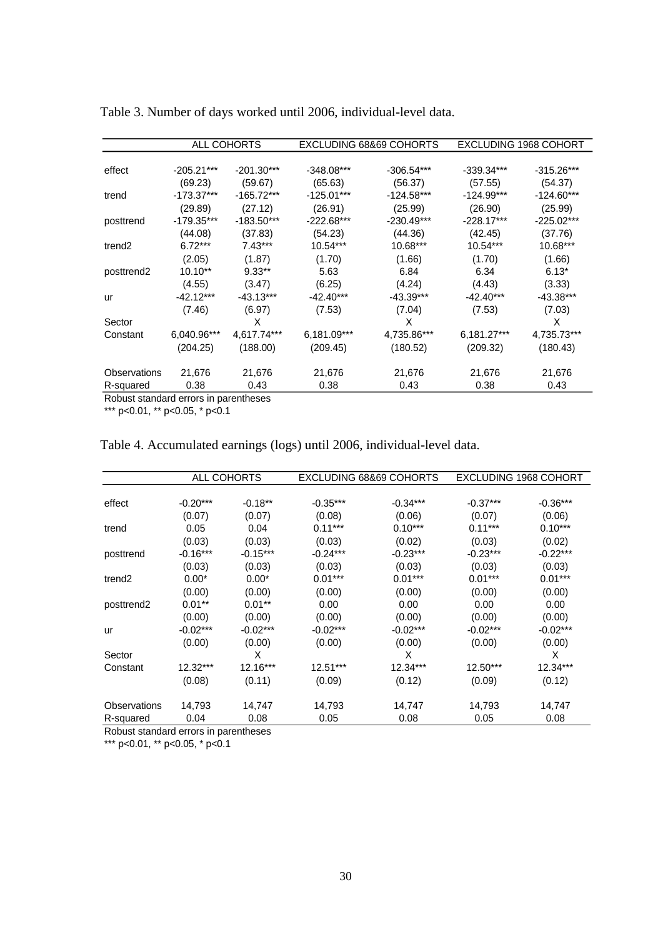|                                      |              | ALL COHORTS  |              | EXCLUDING 68&69 COHORTS |              | <b>EXCLUDING 1968 COHORT</b> |
|--------------------------------------|--------------|--------------|--------------|-------------------------|--------------|------------------------------|
|                                      |              |              |              |                         |              |                              |
| effect                               | $-205.21***$ | $-201.30***$ | $-348.08***$ | $-306.54***$            | $-339.34***$ | $-315.26***$                 |
|                                      | (69.23)      | (59.67)      | (65.63)      | (56.37)                 | (57.55)      | (54.37)                      |
| trend                                | $-173.37***$ | $-165.72***$ | $-125.01***$ | $-124.58***$            | $-124.99***$ | $-124.60***$                 |
|                                      | (29.89)      | (27.12)      | (26.91)      | (25.99)                 | (26.90)      | (25.99)                      |
| posttrend                            | $-179.35***$ | $-183.50***$ | $-222.68***$ | $-230.49***$            | $-228.17***$ | $-225.02***$                 |
|                                      | (44.08)      | (37.83)      | (54.23)      | (44.36)                 | (42.45)      | (37.76)                      |
| trend <sub>2</sub>                   | $6.72***$    | $7.43***$    | $10.54***$   | $10.68***$              | $10.54***$   | 10.68***                     |
|                                      | (2.05)       | (1.87)       | (1.70)       | (1.66)                  | (1.70)       | (1.66)                       |
| posttrend <sub>2</sub>               | $10.10**$    | $9.33**$     | 5.63         | 6.84                    | 6.34         | $6.13*$                      |
|                                      | (4.55)       | (3.47)       | (6.25)       | (4.24)                  | (4.43)       | (3.33)                       |
| ur                                   | $-42.12***$  | $-43.13***$  | $-42.40***$  | $-43.39***$             | $-42.40***$  | $-43.38***$                  |
|                                      | (7.46)       | (6.97)       | (7.53)       | (7.04)                  | (7.53)       | (7.03)                       |
| Sector                               |              | X            |              | X                       |              | X                            |
| Constant                             | 6,040.96***  | 4,617.74***  | 6,181.09***  | 4,735.86***             | 6,181.27***  | 4,735.73***                  |
|                                      | (204.25)     | (188.00)     | (209.45)     | (180.52)                | (209.32)     | (180.43)                     |
| Observations                         | 21,676       | 21,676       | 21,676       | 21,676                  | 21,676       | 21,676                       |
| R-squared                            | 0.38         | 0.43         | 0.38         | 0.43                    | 0.38         | 0.43                         |
| Debuat standard excusive parantheses |              |              |              |                         |              |                              |

Table 3. Number of days worked until 2006, individual-level data.

Robust standard errors in parentheses

\*\*\* p<0.01, \*\* p<0.05, \* p<0.1

| Table 4. Accumulated earnings (logs) until 2006, individual-level data. |  |  |  |
|-------------------------------------------------------------------------|--|--|--|
|-------------------------------------------------------------------------|--|--|--|

|                        | ALL COHORTS |            |            | EXCLUDING 68&69 COHORTS | <b>EXCLUDING 1968 COHORT</b> |            |
|------------------------|-------------|------------|------------|-------------------------|------------------------------|------------|
|                        |             |            |            |                         |                              |            |
| effect                 | $-0.20***$  | $-0.18**$  | $-0.35***$ | $-0.34***$              | $-0.37***$                   | $-0.36***$ |
|                        | (0.07)      | (0.07)     | (0.08)     | (0.06)                  | (0.07)                       | (0.06)     |
| trend                  | 0.05        | 0.04       | $0.11***$  | $0.10***$               | $0.11***$                    | $0.10***$  |
|                        | (0.03)      | (0.03)     | (0.03)     | (0.02)                  | (0.03)                       | (0.02)     |
| posttrend              | $-0.16***$  | $-0.15***$ | $-0.24***$ | $-0.23***$              | $-0.23***$                   | $-0.22***$ |
|                        | (0.03)      | (0.03)     | (0.03)     | (0.03)                  | (0.03)                       | (0.03)     |
| trend2                 | $0.00*$     | $0.00*$    | $0.01***$  | $0.01***$               | $0.01***$                    | $0.01***$  |
|                        | (0.00)      | (0.00)     | (0.00)     | (0.00)                  | (0.00)                       | (0.00)     |
| posttrend <sub>2</sub> | $0.01**$    | $0.01**$   | 0.00       | 0.00                    | 0.00                         | 0.00       |
|                        | (0.00)      | (0.00)     | (0.00)     | (0.00)                  | (0.00)                       | (0.00)     |
| ur                     | $-0.02***$  | $-0.02***$ | $-0.02***$ | $-0.02***$              | $-0.02***$                   | $-0.02***$ |
|                        | (0.00)      | (0.00)     | (0.00)     | (0.00)                  | (0.00)                       | (0.00)     |
| Sector                 |             | X          |            | X                       |                              | X          |
| Constant               | $12.32***$  | $12.16***$ | $12.51***$ | $12.34***$              | $12.50***$                   | $12.34***$ |
|                        | (0.08)      | (0.11)     | (0.09)     | (0.12)                  | (0.09)                       | (0.12)     |
| Observations           | 14,793      | 14,747     | 14,793     | 14,747                  | 14,793                       | 14,747     |
| R-squared              | 0.04        | 0.08       | 0.05       | 0.08                    | 0.05                         | 0.08       |

Robust standard errors in parentheses

\*\*\* p<0.01, \*\* p<0.05, \* p<0.1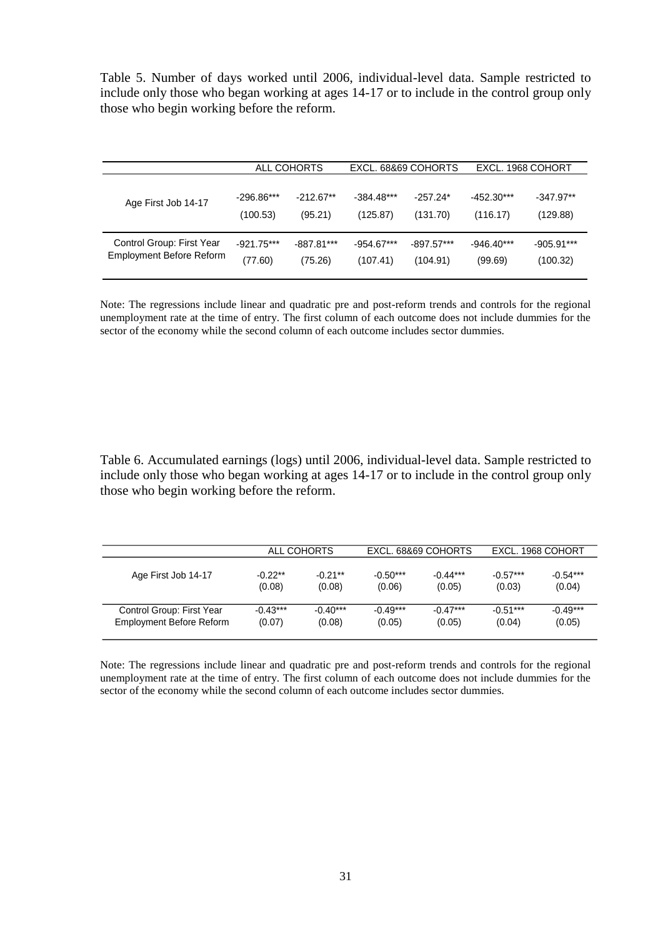Table 5. Number of days worked until 2006, individual-level data. Sample restricted to include only those who began working at ages 14-17 or to include in the control group only those who begin working before the reform.

|                                 | ALL COHORTS  |              | EXCL, 68&69 COHORTS |              | EXCL, 1968 COHORT |              |
|---------------------------------|--------------|--------------|---------------------|--------------|-------------------|--------------|
| Age First Job 14-17             | $-296.86***$ | $-212.67**$  | $-384.48***$        | $-257.24*$   | $-452.30***$      | $-347.97**$  |
|                                 | (100.53)     | (95.21)      | (125.87)            | (131.70)     | (116.17)          | (129.88)     |
| Control Group: First Year       | $-921.75***$ | $-887.81***$ | $-954.67***$        | $-897.57***$ | $-946.40***$      | $-905.91***$ |
| <b>Employment Before Reform</b> | (77.60)      | (75.26)      | (107.41)            | (104.91)     | (99.69)           | (100.32)     |

Note: The regressions include linear and quadratic pre and post-reform trends and controls for the regional unemployment rate at the time of entry. The first column of each outcome does not include dummies for the sector of the economy while the second column of each outcome includes sector dummies.

Table 6. Accumulated earnings (logs) until 2006, individual-level data. Sample restricted to include only those who began working at ages 14-17 or to include in the control group only those who begin working before the reform.

|                           |            | ALL COHORTS |            | EXCL, 68&69 COHORTS |            | EXCL, 1968 COHORT |  |
|---------------------------|------------|-------------|------------|---------------------|------------|-------------------|--|
| Age First Job 14-17       | $-0.22**$  | $-0.21**$   | $-0.50***$ | $-0.44***$          | $-0.57***$ | $-0.54***$        |  |
|                           | (0.08)     | (0.08)      | (0.06)     | (0.05)              | (0.03)     | (0.04)            |  |
| Control Group: First Year | $-0.43***$ | $-0.40***$  | $-0.49***$ | $-0.47***$          | $-0.51***$ | $-0.49***$        |  |
| Employment Before Reform  | (0.07)     | (0.08)      | (0.05)     | (0.05)              | (0.04)     | (0.05)            |  |

Note: The regressions include linear and quadratic pre and post-reform trends and controls for the regional unemployment rate at the time of entry. The first column of each outcome does not include dummies for the sector of the economy while the second column of each outcome includes sector dummies.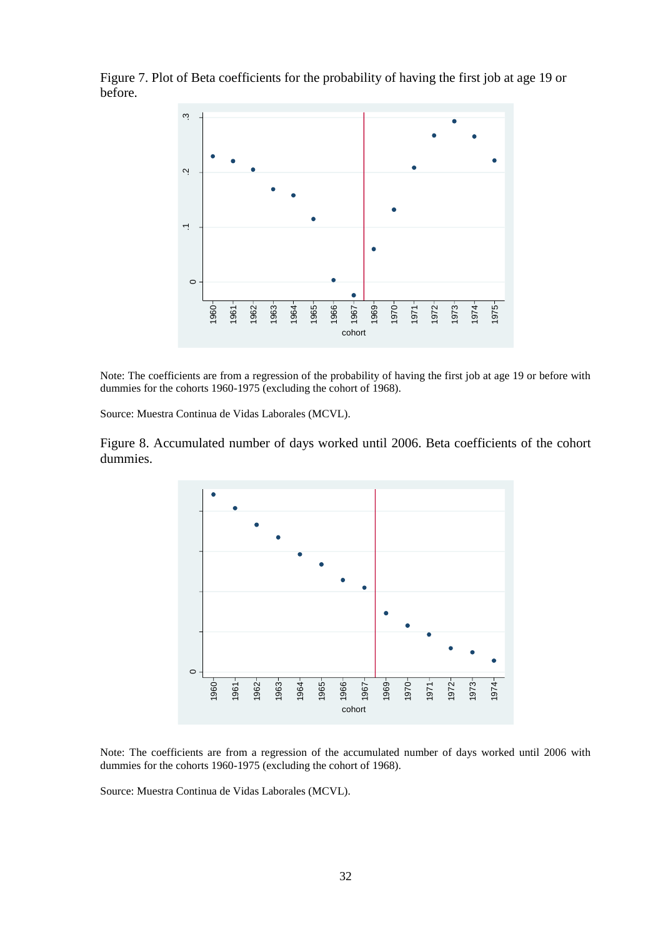Figure 7. Plot of Beta coefficients for the probability of having the first job at age 19 or before.



Note: The coefficients are from a regression of the probability of having the first job at age 19 or before with dummies for the cohorts 1960-1975 (excluding the cohort of 1968).

Source: Muestra Continua de Vidas Laborales (MCVL).

Figure 8. Accumulated number of days worked until 2006. Beta coefficients of the cohort dummies.



Note: The coefficients are from a regression of the accumulated number of days worked until 2006 with dummies for the cohorts 1960-1975 (excluding the cohort of 1968).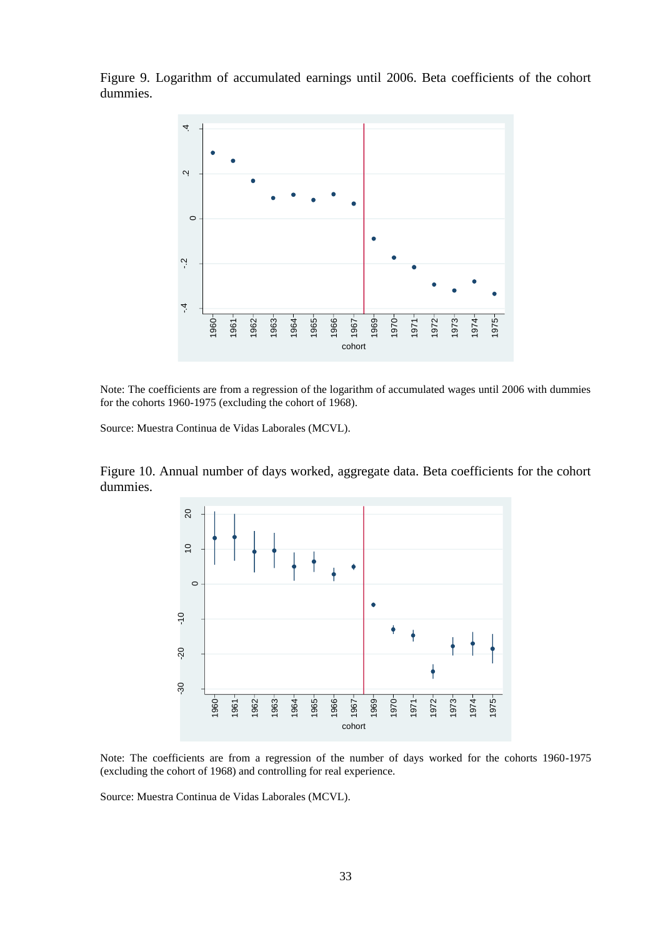Figure 9. Logarithm of accumulated earnings until 2006. Beta coefficients of the cohort dummies.



Note: The coefficients are from a regression of the logarithm of accumulated wages until 2006 with dummies for the cohorts 1960-1975 (excluding the cohort of 1968).

Source: Muestra Continua de Vidas Laborales (MCVL).

Figure 10. Annual number of days worked, aggregate data. Beta coefficients for the cohort dummies.



Note: The coefficients are from a regression of the number of days worked for the cohorts 1960-1975 (excluding the cohort of 1968) and controlling for real experience.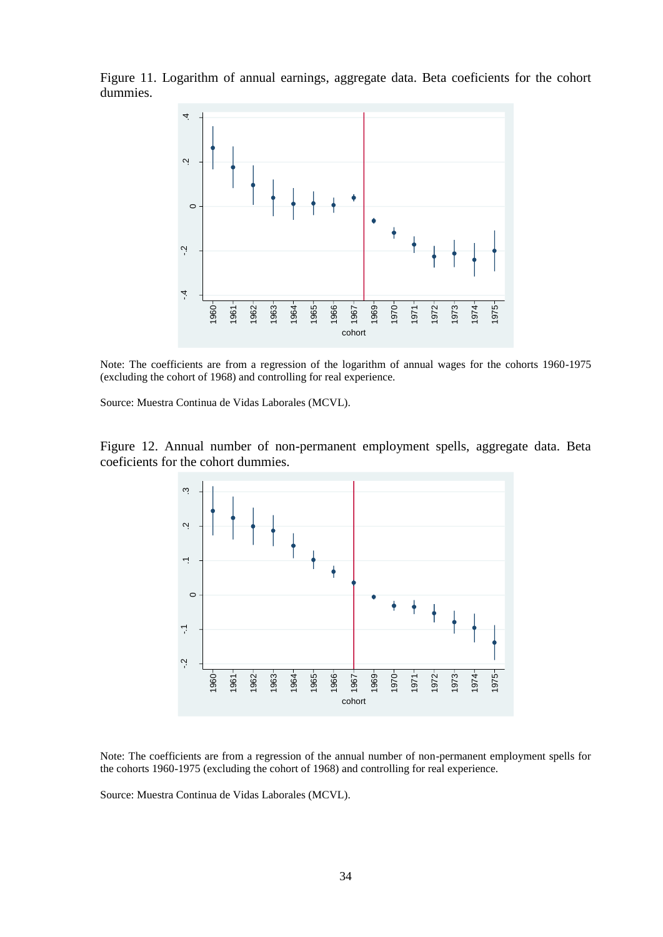Figure 11. Logarithm of annual earnings, aggregate data. Beta coeficients for the cohort dummies.



Note: The coefficients are from a regression of the logarithm of annual wages for the cohorts 1960-1975 (excluding the cohort of 1968) and controlling for real experience.

Source: Muestra Continua de Vidas Laborales (MCVL).

Figure 12. Annual number of non-permanent employment spells, aggregate data. Beta coeficients for the cohort dummies.



Note: The coefficients are from a regression of the annual number of non-permanent employment spells for the cohorts 1960-1975 (excluding the cohort of 1968) and controlling for real experience.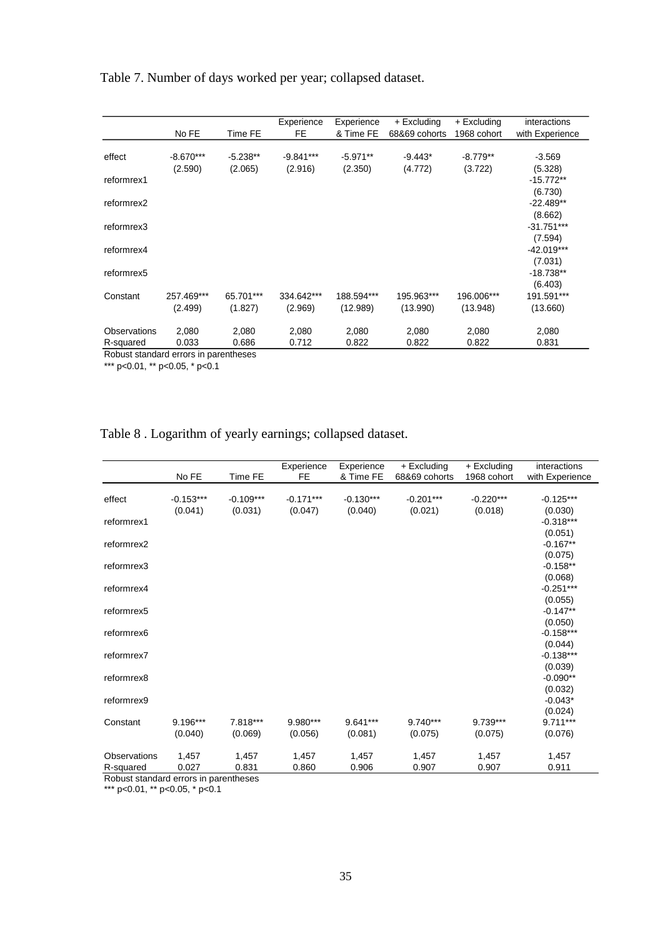Table 7. Number of days worked per year; collapsed dataset.

|              |             |            | Experience  | Experience | + Excluding   | + Excluding | interactions    |
|--------------|-------------|------------|-------------|------------|---------------|-------------|-----------------|
|              | No FE       | Time FE    | FE          | & Time FE  | 68&69 cohorts | 1968 cohort | with Experience |
|              |             |            |             |            |               |             |                 |
| effect       | $-8.670***$ | $-5.238**$ | $-9.841***$ | $-5.971**$ | $-9.443*$     | $-8.779**$  | $-3.569$        |
|              | (2.590)     | (2.065)    | (2.916)     | (2.350)    | (4.772)       | (3.722)     | (5.328)         |
| reformrex1   |             |            |             |            |               |             | $-15.772**$     |
|              |             |            |             |            |               |             | (6.730)         |
| reformrex2   |             |            |             |            |               |             | $-22.489**$     |
|              |             |            |             |            |               |             | (8.662)         |
| reformrex3   |             |            |             |            |               |             | $-31.751***$    |
|              |             |            |             |            |               |             | (7.594)         |
| reformrex4   |             |            |             |            |               |             | $-42.019***$    |
|              |             |            |             |            |               |             | (7.031)         |
| reformrex5   |             |            |             |            |               |             | $-18.738**$     |
|              |             |            |             |            |               |             | (6.403)         |
| Constant     | 257.469***  | 65.701***  | 334.642***  | 188.594*** | 195.963***    | 196.006***  | 191.591***      |
|              | (2.499)     | (1.827)    | (2.969)     | (12.989)   | (13.990)      | (13.948)    | (13.660)        |
|              |             |            |             |            |               |             |                 |
| Observations | 2,080       | 2,080      | 2,080       | 2,080      | 2,080         | 2,080       | 2,080           |
| R-squared    | 0.033       | 0.686      | 0.712       | 0.822      | 0.822         | 0.822       | 0.831           |

Robust standard errors in parentheses

\*\*\* p<0.01, \*\* p<0.05, \* p<0.1

# Table 8 . Logarithm of yearly earnings; collapsed dataset.

|                           | No FE                  | Time FE                | Experience<br><b>FE</b> | Experience<br>& Time FE | + Excluding<br>68&69 cohorts | + Excluding<br>1968 cohort | interactions<br>with Experience  |
|---------------------------|------------------------|------------------------|-------------------------|-------------------------|------------------------------|----------------------------|----------------------------------|
| effect                    | $-0.153***$<br>(0.041) | $-0.109***$<br>(0.031) | $-0.171***$<br>(0.047)  | $-0.130***$<br>(0.040)  | $-0.201***$<br>(0.021)       | $-0.220***$<br>(0.018)     | $-0.125***$<br>(0.030)           |
| reformrex1                |                        |                        |                         |                         |                              |                            | $-0.318***$<br>(0.051)           |
| reformrex2                |                        |                        |                         |                         |                              |                            | $-0.167**$                       |
| reformrex3                |                        |                        |                         |                         |                              |                            | (0.075)<br>$-0.158**$            |
| reformrex4                |                        |                        |                         |                         |                              |                            | (0.068)<br>$-0.251***$           |
| reformrex5                |                        |                        |                         |                         |                              |                            | (0.055)<br>$-0.147**$            |
| reformrex6                |                        |                        |                         |                         |                              |                            | (0.050)<br>$-0.158***$           |
| reformrex7                |                        |                        |                         |                         |                              |                            | (0.044)<br>$-0.138***$           |
| reformrex8                |                        |                        |                         |                         |                              |                            | (0.039)<br>$-0.090**$            |
| reformrex9                |                        |                        |                         |                         |                              |                            | (0.032)<br>$-0.043*$             |
| Constant                  | 9.196***<br>(0.040)    | 7.818***<br>(0.069)    | 9.980***<br>(0.056)     | 9.641***<br>(0.081)     | $9.740***$<br>(0.075)        | 9.739***<br>(0.075)        | (0.024)<br>$9.711***$<br>(0.076) |
| Observations<br>R-squared | 1,457<br>0.027         | 1,457<br>0.831         | 1,457<br>0.860          | 1,457<br>0.906          | 1,457<br>0.907               | 1,457<br>0.907             | 1,457<br>0.911                   |

Robust standard errors in parentheses

\*\*\* p<0.01, \*\* p<0.05, \* p<0.1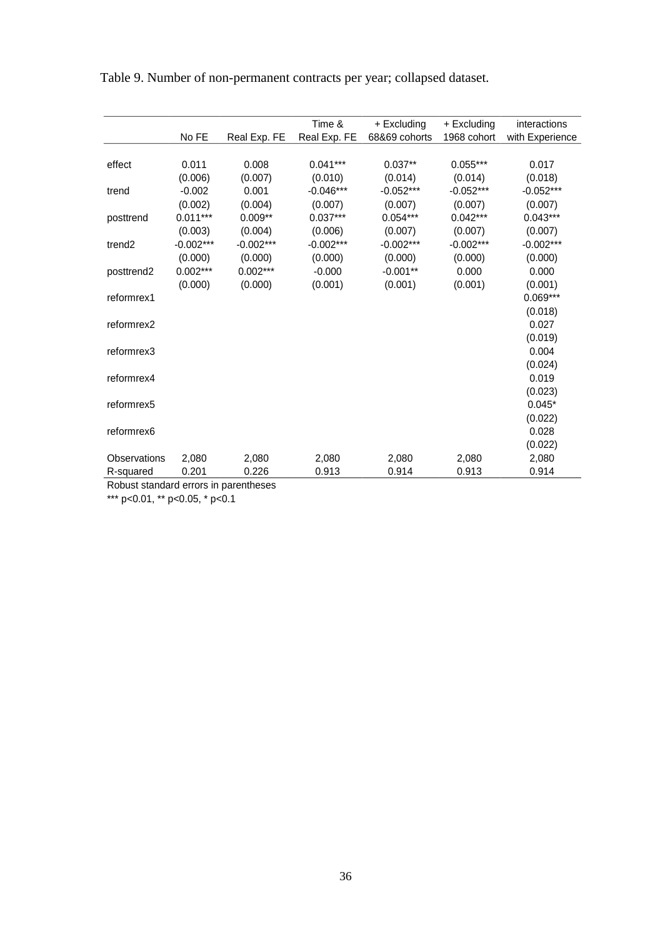|                    |             |              | Time &       | + Excluding   | + Excluding | interactions    |
|--------------------|-------------|--------------|--------------|---------------|-------------|-----------------|
|                    | No FE       | Real Exp. FE | Real Exp. FE | 68&69 cohorts | 1968 cohort | with Experience |
|                    |             |              |              |               |             |                 |
| effect             | 0.011       | 0.008        | $0.041***$   | $0.037**$     | $0.055***$  | 0.017           |
|                    | (0.006)     | (0.007)      | (0.010)      | (0.014)       | (0.014)     | (0.018)         |
| trend              | $-0.002$    | 0.001        | $-0.046***$  | $-0.052***$   | $-0.052***$ | $-0.052***$     |
|                    | (0.002)     | (0.004)      | (0.007)      | (0.007)       | (0.007)     | (0.007)         |
| posttrend          | $0.011***$  | $0.009**$    | $0.037***$   | $0.054***$    | $0.042***$  | $0.043***$      |
|                    | (0.003)     | (0.004)      | (0.006)      | (0.007)       | (0.007)     | (0.007)         |
| trend <sub>2</sub> | $-0.002***$ | $-0.002***$  | $-0.002***$  | $-0.002***$   | $-0.002***$ | $-0.002***$     |
|                    | (0.000)     | (0.000)      | (0.000)      | (0.000)       | (0.000)     | (0.000)         |
| posttrend2         | $0.002***$  | $0.002***$   | $-0.000$     | $-0.001**$    | 0.000       | 0.000           |
|                    | (0.000)     | (0.000)      | (0.001)      | (0.001)       | (0.001)     | (0.001)         |
| reformrex1         |             |              |              |               |             | 0.069***        |
|                    |             |              |              |               |             | (0.018)         |
| reformrex2         |             |              |              |               |             | 0.027           |
|                    |             |              |              |               |             | (0.019)         |
| reformrex3         |             |              |              |               |             | 0.004           |
|                    |             |              |              |               |             | (0.024)         |
| reformrex4         |             |              |              |               |             | 0.019           |
|                    |             |              |              |               |             | (0.023)         |
| reformrex5         |             |              |              |               |             | $0.045*$        |
|                    |             |              |              |               |             | (0.022)         |
| reformrex6         |             |              |              |               |             | 0.028           |
|                    |             |              |              |               |             |                 |
|                    |             |              |              |               |             | (0.022)         |
| Observations       | 2,080       | 2,080        | 2,080        | 2,080         | 2,080       | 2,080           |
| R-squared          | 0.201       | 0.226        | 0.913        | 0.914         | 0.913       | 0.914           |

Table 9. Number of non-permanent contracts per year; collapsed dataset.

Robust standard errors in parentheses

\*\*\* p<0.01, \*\* p<0.05, \* p<0.1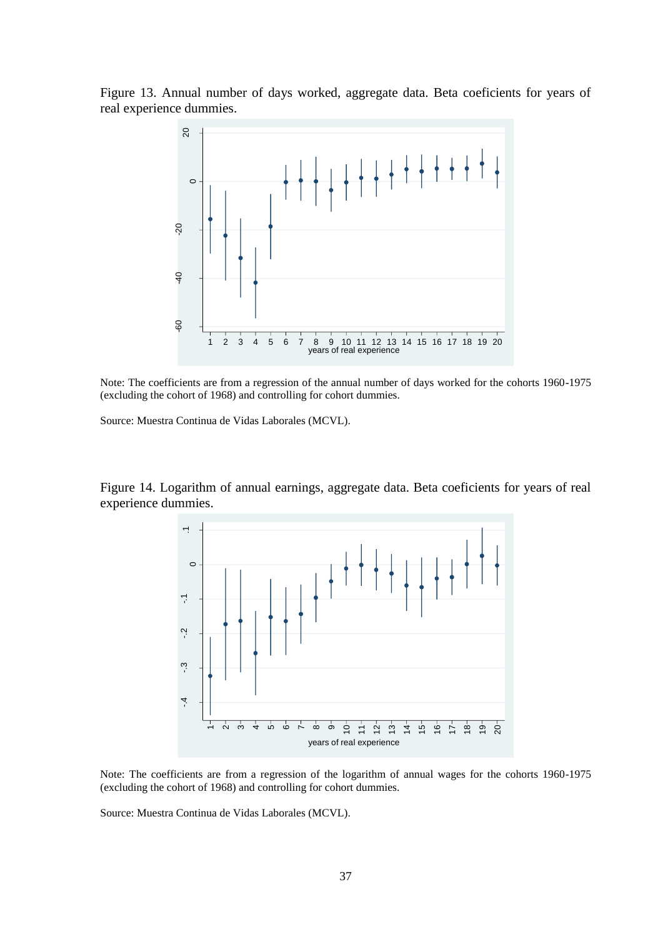Figure 13. Annual number of days worked, aggregate data. Beta coeficients for years of real experience dummies.



Note: The coefficients are from a regression of the annual number of days worked for the cohorts 1960-1975 (excluding the cohort of 1968) and controlling for cohort dummies.

Source: Muestra Continua de Vidas Laborales (MCVL).

Figure 14. Logarithm of annual earnings, aggregate data. Beta coeficients for years of real experience dummies.



Note: The coefficients are from a regression of the logarithm of annual wages for the cohorts 1960-1975 (excluding the cohort of 1968) and controlling for cohort dummies.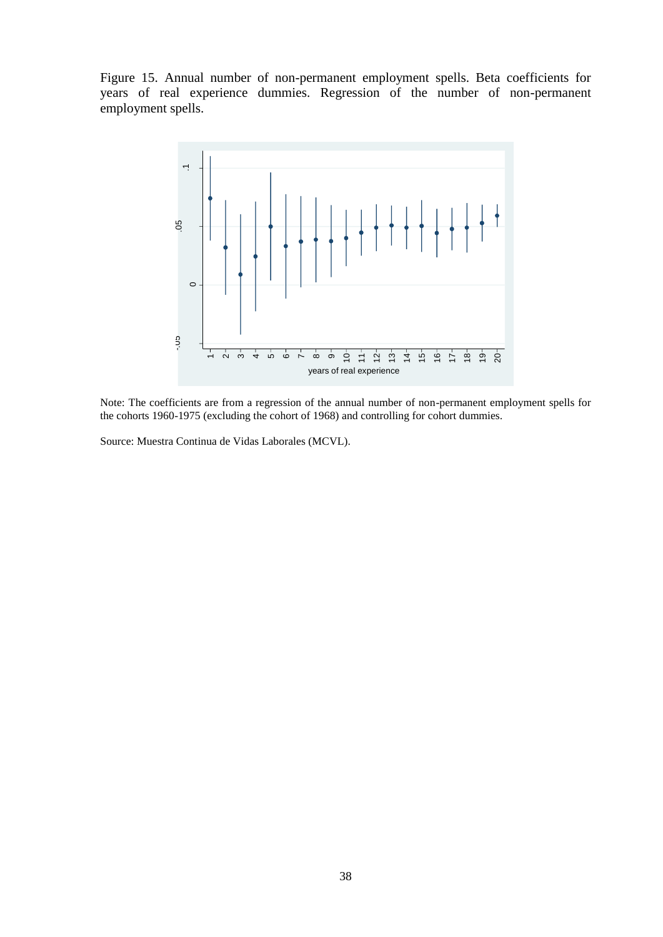Figure 15. Annual number of non-permanent employment spells. Beta coefficients for years of real experience dummies. Regression of the number of non-permanent employment spells.



Note: The coefficients are from a regression of the annual number of non-permanent employment spells for the cohorts 1960-1975 (excluding the cohort of 1968) and controlling for cohort dummies.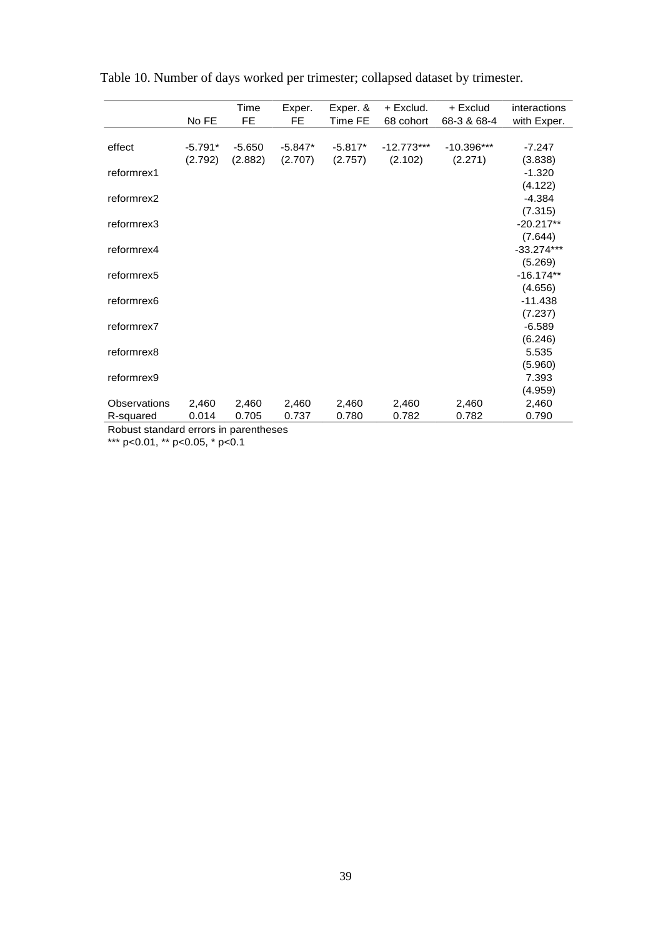|              |           | Time     | Exper.    | Exper. &  | + Exclud.    | + Exclud     | interactions |
|--------------|-----------|----------|-----------|-----------|--------------|--------------|--------------|
|              | No FE     | FE.      | FE.       | Time FE   | 68 cohort    | 68-3 & 68-4  | with Exper.  |
|              |           |          |           |           |              |              |              |
| effect       | $-5.791*$ | $-5.650$ | $-5.847*$ | $-5.817*$ | $-12.773***$ | $-10.396***$ | $-7.247$     |
|              | (2.792)   | (2.882)  | (2.707)   | (2.757)   | (2.102)      | (2.271)      | (3.838)      |
| reformrex1   |           |          |           |           |              |              | $-1.320$     |
|              |           |          |           |           |              |              | (4.122)      |
| reformrex2   |           |          |           |           |              |              | $-4.384$     |
|              |           |          |           |           |              |              | (7.315)      |
| reformrex3   |           |          |           |           |              |              | $-20.217**$  |
|              |           |          |           |           |              |              | (7.644)      |
| reformrex4   |           |          |           |           |              |              | $-33.274***$ |
|              |           |          |           |           |              |              | (5.269)      |
| reformrex5   |           |          |           |           |              |              | $-16.174**$  |
|              |           |          |           |           |              |              | (4.656)      |
| reformrex6   |           |          |           |           |              |              | $-11.438$    |
|              |           |          |           |           |              |              | (7.237)      |
| reformrex7   |           |          |           |           |              |              | $-6.589$     |
|              |           |          |           |           |              |              | (6.246)      |
| reformrex8   |           |          |           |           |              |              | 5.535        |
|              |           |          |           |           |              |              | (5.960)      |
| reformrex9   |           |          |           |           |              |              | 7.393        |
|              |           |          |           |           |              |              | (4.959)      |
| Observations | 2,460     | 2,460    | 2,460     | 2,460     | 2,460        | 2,460        | 2,460        |
| R-squared    | 0.014     | 0.705    | 0.737     | 0.780     | 0.782        | 0.782        | 0.790        |

Table 10. Number of days worked per trimester; collapsed dataset by trimester.

Robust standard errors in parentheses \*\*\* p<0.01, \*\* p<0.05, \* p<0.1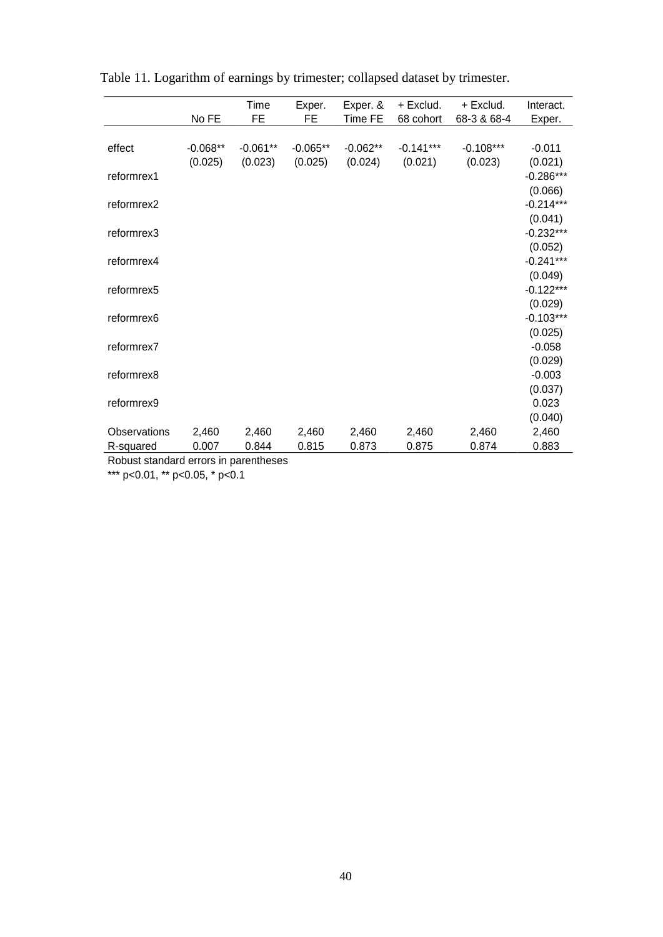|              | No FE      | Time<br>FE | Exper.<br>FE | Exper. &<br>Time FE | + Exclud.<br>68 cohort | + Exclud.<br>68-3 & 68-4 | Interact.<br>Exper.    |
|--------------|------------|------------|--------------|---------------------|------------------------|--------------------------|------------------------|
|              |            |            |              |                     |                        |                          |                        |
| effect       | $-0.068**$ | $-0.061**$ | $-0.065**$   | $-0.062**$          | $-0.141***$            | $-0.108***$              | $-0.011$               |
|              | (0.025)    | (0.023)    | (0.025)      | (0.024)             | (0.021)                | (0.023)                  | (0.021)                |
| reformrex1   |            |            |              |                     |                        |                          | $-0.286***$            |
|              |            |            |              |                     |                        |                          | (0.066)                |
| reformrex2   |            |            |              |                     |                        |                          | $-0.214***$            |
|              |            |            |              |                     |                        |                          | (0.041)                |
| reformrex3   |            |            |              |                     |                        |                          | $-0.232***$            |
|              |            |            |              |                     |                        |                          | (0.052)                |
| reformrex4   |            |            |              |                     |                        |                          | $-0.241***$            |
|              |            |            |              |                     |                        |                          | (0.049)                |
| reformrex5   |            |            |              |                     |                        |                          | $-0.122***$            |
|              |            |            |              |                     |                        |                          | (0.029)<br>$-0.103***$ |
| reformrex6   |            |            |              |                     |                        |                          | (0.025)                |
| reformrex7   |            |            |              |                     |                        |                          | $-0.058$               |
|              |            |            |              |                     |                        |                          | (0.029)                |
| reformrex8   |            |            |              |                     |                        |                          | $-0.003$               |
|              |            |            |              |                     |                        |                          | (0.037)                |
| reformrex9   |            |            |              |                     |                        |                          | 0.023                  |
|              |            |            |              |                     |                        |                          | (0.040)                |
| Observations | 2,460      | 2,460      | 2,460        | 2,460               | 2,460                  | 2,460                    | 2,460                  |
| R-squared    | 0.007      | 0.844      | 0.815        | 0.873               | 0.875                  | 0.874                    | 0.883                  |

Table 11. Logarithm of earnings by trimester; collapsed dataset by trimester.

Robust standard errors in parentheses

\*\*\* p<0.01, \*\* p<0.05, \* p<0.1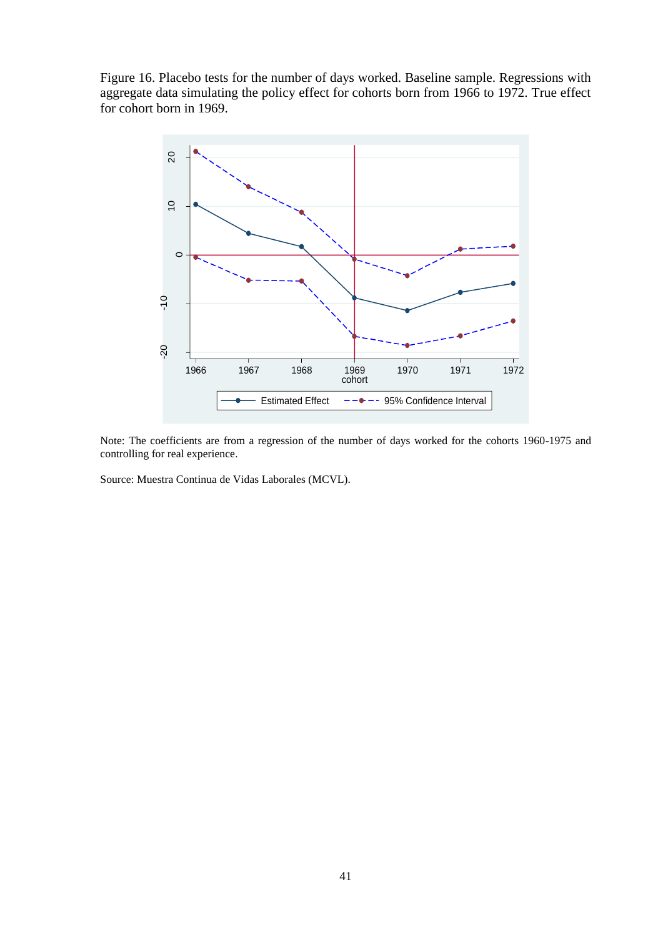Figure 16. Placebo tests for the number of days worked. Baseline sample. Regressions with aggregate data simulating the policy effect for cohorts born from 1966 to 1972. True effect for cohort born in 1969.



Note: The coefficients are from a regression of the number of days worked for the cohorts 1960-1975 and controlling for real experience.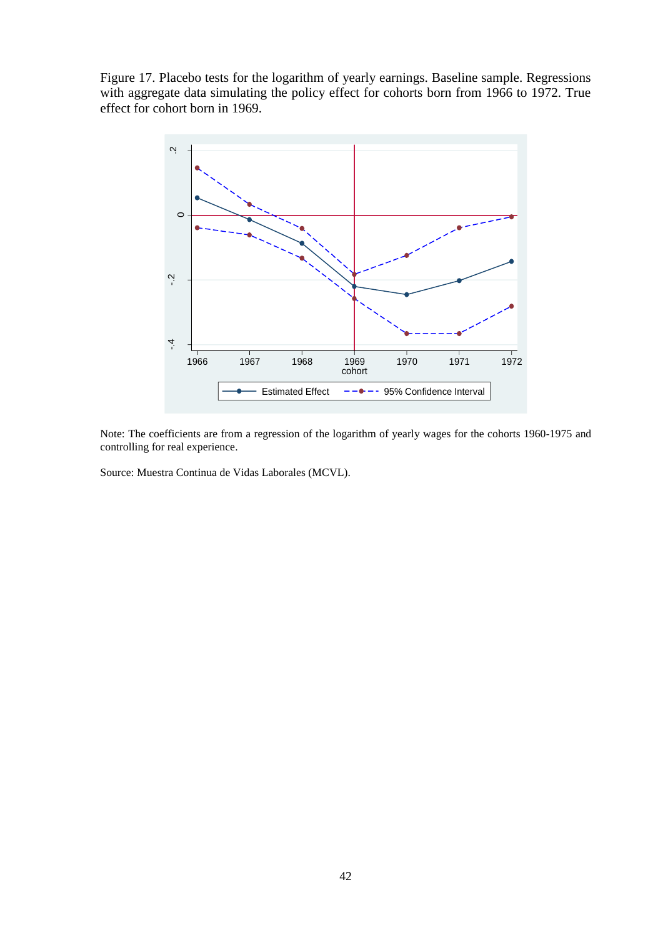Figure 17. Placebo tests for the logarithm of yearly earnings. Baseline sample. Regressions with aggregate data simulating the policy effect for cohorts born from 1966 to 1972. True effect for cohort born in 1969.



Note: The coefficients are from a regression of the logarithm of yearly wages for the cohorts 1960-1975 and controlling for real experience.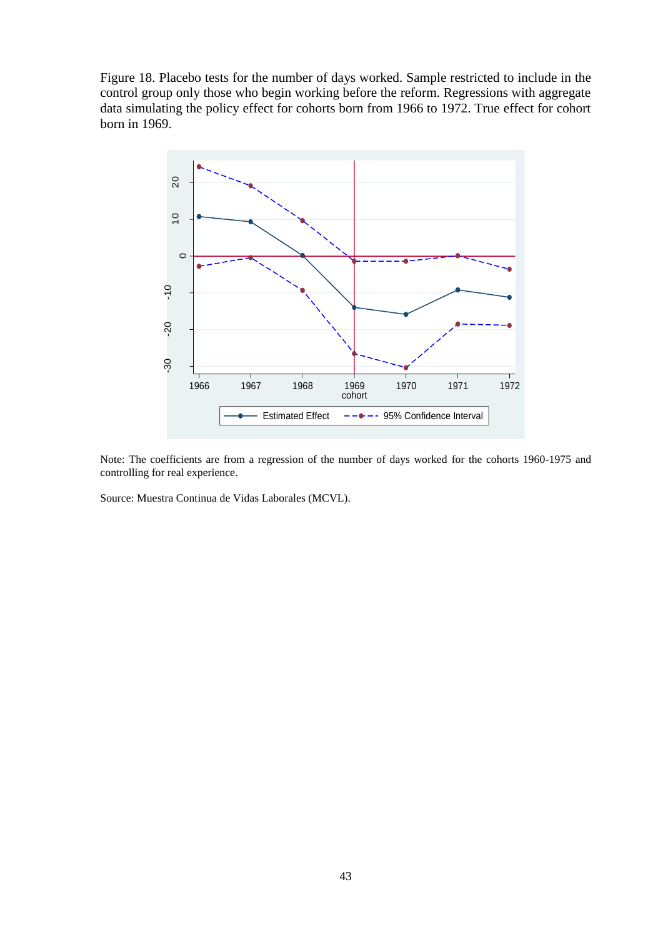Figure 18. Placebo tests for the number of days worked. Sample restricted to include in the control group only those who begin working before the reform. Regressions with aggregate data simulating the policy effect for cohorts born from 1966 to 1972. True effect for cohort born in 1969.



Note: The coefficients are from a regression of the number of days worked for the cohorts 1960-1975 and controlling for real experience.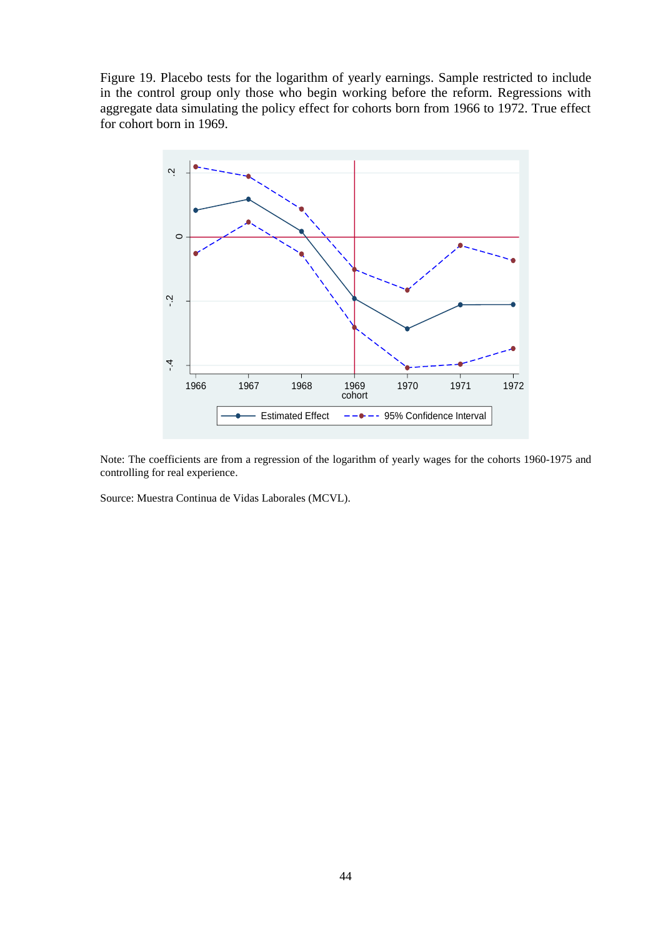Figure 19. Placebo tests for the logarithm of yearly earnings. Sample restricted to include in the control group only those who begin working before the reform. Regressions with aggregate data simulating the policy effect for cohorts born from 1966 to 1972. True effect for cohort born in 1969.



Note: The coefficients are from a regression of the logarithm of yearly wages for the cohorts 1960-1975 and controlling for real experience.